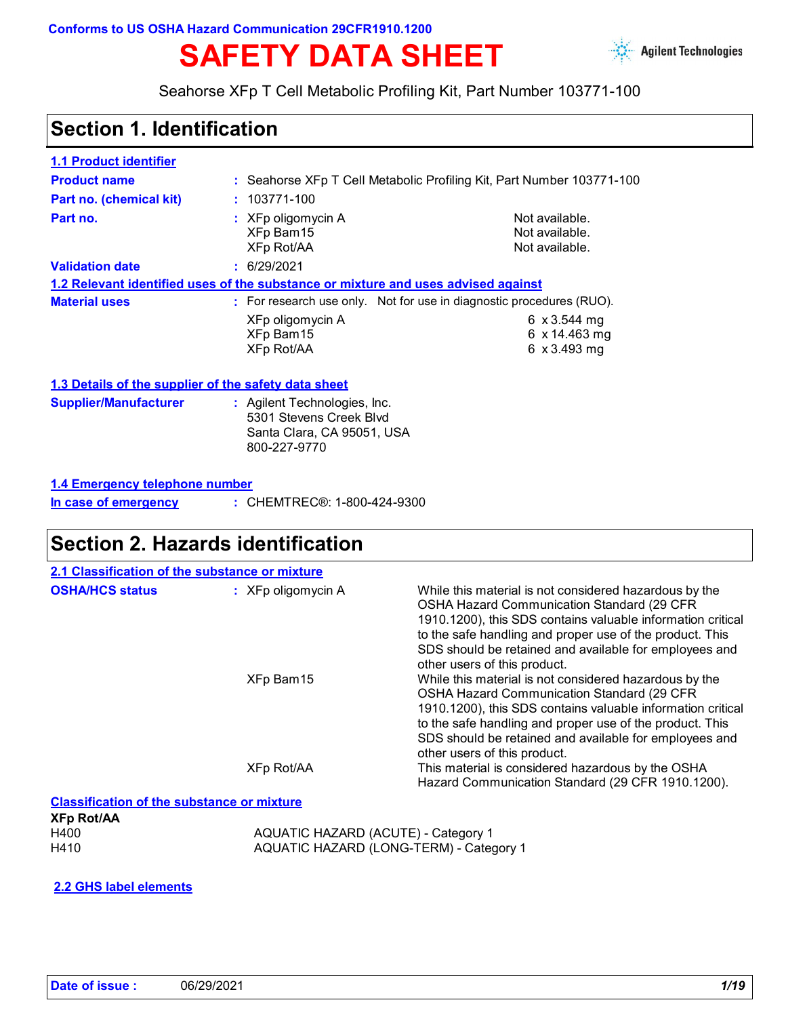#### **Conforms to US OSHA Hazard Communication 29CFR1910.1200**

# **SAFETY DATA SHEET**



Seahorse XFp T Cell Metabolic Profiling Kit, Part Number 103771-100

### **Section 1. Identification**

| <b>1.1 Product identifier</b>                        |                                                                                                       |                                                                       |  |
|------------------------------------------------------|-------------------------------------------------------------------------------------------------------|-----------------------------------------------------------------------|--|
| <b>Product name</b>                                  |                                                                                                       | : Seahorse XFp T Cell Metabolic Profiling Kit, Part Number 103771-100 |  |
| Part no. (chemical kit)                              | $: 103771 - 100$                                                                                      |                                                                       |  |
| Part no.                                             | $:$ XFp oligomycin A<br>XFp Bam15<br>XFp Rot/AA                                                       | Not available.<br>Not available.<br>Not available.                    |  |
| <b>Validation date</b>                               | : 6/29/2021                                                                                           |                                                                       |  |
|                                                      | <u>1.2 Relevant identified uses of the substance or mixture and uses advised against</u>              |                                                                       |  |
| <b>Material uses</b>                                 |                                                                                                       | : For research use only. Not for use in diagnostic procedures (RUO).  |  |
|                                                      | XFp oligomycin A<br>XFp Bam15<br><b>XFp Rot/AA</b>                                                    | 6 $x3.544$ mg<br>6 $x$ 14.463 mg<br>6 x 3.493 mg                      |  |
| 1.3 Details of the supplier of the safety data sheet |                                                                                                       |                                                                       |  |
| <b>Supplier/Manufacturer</b>                         | : Agilent Technologies, Inc.<br>5301 Stevens Creek Blvd<br>Santa Clara, CA 95051, USA<br>800-227-9770 |                                                                       |  |
| 1.4 Emergency telephone number                       |                                                                                                       |                                                                       |  |
| In case of emergency                                 | : CHEMTREC®: 1-800-424-9300                                                                           |                                                                       |  |

### **Section 2. Hazards identification**

| 2.1 Classification of the substance or mixture    |                      |                                                                                                                                                                                                                                                                                                                           |
|---------------------------------------------------|----------------------|---------------------------------------------------------------------------------------------------------------------------------------------------------------------------------------------------------------------------------------------------------------------------------------------------------------------------|
| <b>OSHA/HCS status</b>                            | $:$ XFp oligomycin A | While this material is not considered hazardous by the<br>OSHA Hazard Communication Standard (29 CFR<br>1910.1200), this SDS contains valuable information critical<br>to the safe handling and proper use of the product. This<br>SDS should be retained and available for employees and<br>other users of this product. |
|                                                   | XFp Bam15            | While this material is not considered hazardous by the<br>OSHA Hazard Communication Standard (29 CFR<br>1910.1200), this SDS contains valuable information critical<br>to the safe handling and proper use of the product. This<br>SDS should be retained and available for employees and<br>other users of this product. |
|                                                   | XFp Rot/AA           | This material is considered hazardous by the OSHA<br>Hazard Communication Standard (29 CFR 1910.1200).                                                                                                                                                                                                                    |
| <b>Classification of the substance or mixture</b> |                      |                                                                                                                                                                                                                                                                                                                           |

**XFp Rot/AA**

H400 **AQUATIC HAZARD (ACUTE) - Category 1**<br>H410 **AQUATIC HAZARD (LONG-TERM) - Cate** AQUATIC HAZARD (LONG-TERM) - Category 1

**2.2 GHS label elements**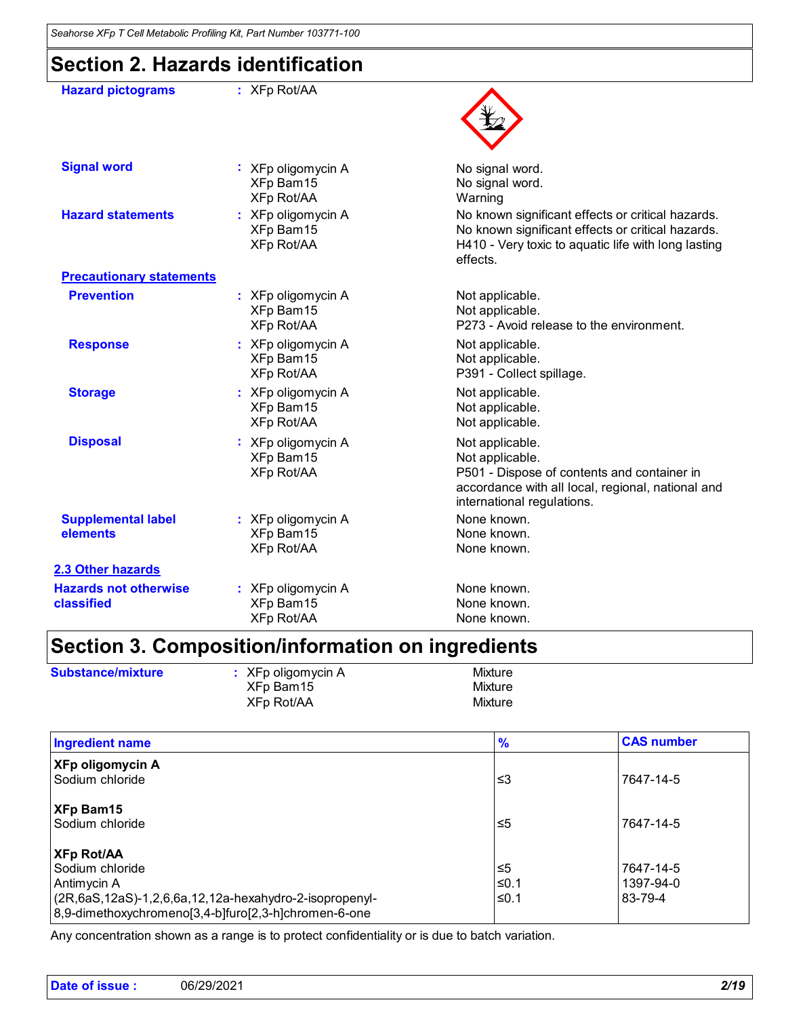# **Section 2. Hazards identification**

| <b>Hazard pictograms</b>                   | $:$ XFp Rot/AA                                       |                                                                                                                                                                           |
|--------------------------------------------|------------------------------------------------------|---------------------------------------------------------------------------------------------------------------------------------------------------------------------------|
| <b>Signal word</b>                         | : XFp oligomycin A<br>XFp Bam15<br><b>XFp Rot/AA</b> | No signal word.<br>No signal word.<br>Warning                                                                                                                             |
| <b>Hazard statements</b>                   | : XFp oligomycin A<br>XFp Bam15<br><b>XFp Rot/AA</b> | No known significant effects or critical hazards.<br>No known significant effects or critical hazards.<br>H410 - Very toxic to aquatic life with long lasting<br>effects. |
| <b>Precautionary statements</b>            |                                                      |                                                                                                                                                                           |
| <b>Prevention</b>                          | : XFp oligomycin A<br>XFp Bam15<br><b>XFp Rot/AA</b> | Not applicable.<br>Not applicable.<br>P273 - Avoid release to the environment.                                                                                            |
| <b>Response</b>                            | : XFp oligomycin A<br>XFp Bam15<br>XFp Rot/AA        | Not applicable.<br>Not applicable.<br>P391 - Collect spillage.                                                                                                            |
| <b>Storage</b>                             | : XFp oligomycin A<br>XFp Bam15<br><b>XFp Rot/AA</b> | Not applicable.<br>Not applicable.<br>Not applicable.                                                                                                                     |
| <b>Disposal</b>                            | : XFp oligomycin A<br>XFp Bam15<br><b>XFp Rot/AA</b> | Not applicable.<br>Not applicable.<br>P501 - Dispose of contents and container in<br>accordance with all local, regional, national and<br>international regulations.      |
| <b>Supplemental label</b><br>elements      | : XFp oligomycin A<br>XFp Bam15<br><b>XFp Rot/AA</b> | None known.<br>None known.<br>None known.                                                                                                                                 |
| 2.3 Other hazards                          |                                                      |                                                                                                                                                                           |
| <b>Hazards not otherwise</b><br>classified | : XFp oligomycin A<br>XFp Bam15<br>XFp Rot/AA        | None known.<br>None known.<br>None known.                                                                                                                                 |

# **Section 3. Composition/information on ingredients**

| <b>Substance/mixture</b> | $\therefore$ XFp oligomycin A | Mixture |
|--------------------------|-------------------------------|---------|
|                          | XFp Bam15                     | Mixture |
|                          | XFp Rot/AA                    | Mixture |

| <b>Ingredient name</b>                                                                                                                                                            | $\frac{9}{6}$        | <b>CAS number</b>                 |
|-----------------------------------------------------------------------------------------------------------------------------------------------------------------------------------|----------------------|-----------------------------------|
| <b>XFp oligomycin A</b><br>Sodium chloride                                                                                                                                        | צ≥                   | 7647-14-5                         |
| <b>XFp Bam15</b><br>Sodium chloride                                                                                                                                               | ≤5                   | 7647-14-5                         |
| <b>XFp Rot/AA</b><br>Sodium chloride<br>Antimycin A<br>$(2R, 6aS, 12aS) - 1, 2, 6, 6a, 12, 12a$ -hexahydro-2-isopropenyl-<br>8,9-dimethoxychromeno[3,4-b]furo[2,3-h]chromen-6-one | ึ ≤5<br>≤0.1<br>≤0.1 | 7647-14-5<br>1397-94-0<br>83-79-4 |

Any concentration shown as a range is to protect confidentiality or is due to batch variation.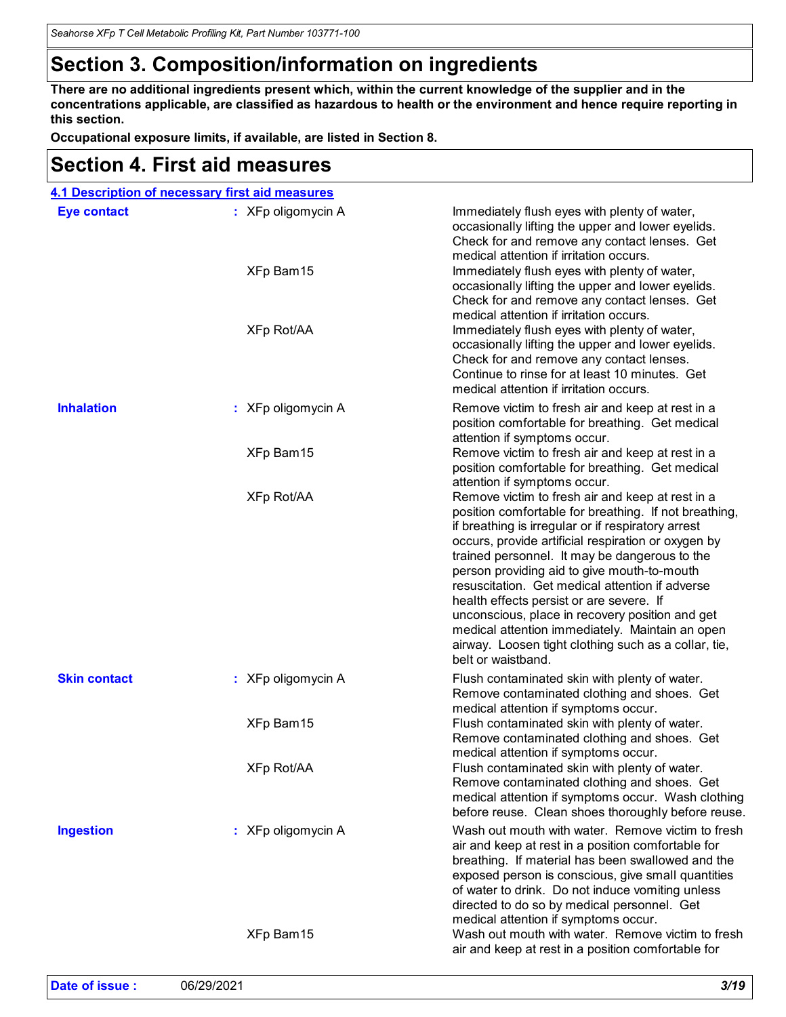# **Section 3. Composition/information on ingredients**

**There are no additional ingredients present which, within the current knowledge of the supplier and in the concentrations applicable, are classified as hazardous to health or the environment and hence require reporting in this section.**

**Occupational exposure limits, if available, are listed in Section 8.**

### **Section 4. First aid measures**

|                     | 4.1 Description of necessary first aid measures |                                                                                                                                                                                                                                                                                                                                                                                                                                                                                                                                                                                                                                            |
|---------------------|-------------------------------------------------|--------------------------------------------------------------------------------------------------------------------------------------------------------------------------------------------------------------------------------------------------------------------------------------------------------------------------------------------------------------------------------------------------------------------------------------------------------------------------------------------------------------------------------------------------------------------------------------------------------------------------------------------|
| <b>Eye contact</b>  | : XFp oligomycin A<br>XFp Bam15<br>XFp Rot/AA   | Immediately flush eyes with plenty of water,<br>occasionally lifting the upper and lower eyelids.<br>Check for and remove any contact lenses. Get<br>medical attention if irritation occurs.<br>Immediately flush eyes with plenty of water,<br>occasionally lifting the upper and lower eyelids.<br>Check for and remove any contact lenses. Get<br>medical attention if irritation occurs.<br>Immediately flush eyes with plenty of water,<br>occasionally lifting the upper and lower eyelids.<br>Check for and remove any contact lenses.<br>Continue to rinse for at least 10 minutes. Get<br>medical attention if irritation occurs. |
| <b>Inhalation</b>   | : XFp oligomycin A                              | Remove victim to fresh air and keep at rest in a<br>position comfortable for breathing. Get medical<br>attention if symptoms occur.                                                                                                                                                                                                                                                                                                                                                                                                                                                                                                        |
|                     | XFp Bam15                                       | Remove victim to fresh air and keep at rest in a<br>position comfortable for breathing. Get medical<br>attention if symptoms occur.                                                                                                                                                                                                                                                                                                                                                                                                                                                                                                        |
|                     | XFp Rot/AA                                      | Remove victim to fresh air and keep at rest in a<br>position comfortable for breathing. If not breathing,<br>if breathing is irregular or if respiratory arrest<br>occurs, provide artificial respiration or oxygen by<br>trained personnel. It may be dangerous to the<br>person providing aid to give mouth-to-mouth<br>resuscitation. Get medical attention if adverse<br>health effects persist or are severe. If<br>unconscious, place in recovery position and get<br>medical attention immediately. Maintain an open<br>airway. Loosen tight clothing such as a collar, tie,<br>belt or waistband.                                  |
| <b>Skin contact</b> | : XFp oligomycin A                              | Flush contaminated skin with plenty of water.<br>Remove contaminated clothing and shoes. Get<br>medical attention if symptoms occur.                                                                                                                                                                                                                                                                                                                                                                                                                                                                                                       |
|                     | XFp Bam15                                       | Flush contaminated skin with plenty of water.<br>Remove contaminated clothing and shoes. Get<br>medical attention if symptoms occur.                                                                                                                                                                                                                                                                                                                                                                                                                                                                                                       |
|                     | <b>XFp Rot/AA</b>                               | Flush contaminated skin with plenty of water.<br>Remove contaminated clothing and shoes. Get<br>medical attention if symptoms occur. Wash clothing<br>before reuse. Clean shoes thoroughly before reuse.                                                                                                                                                                                                                                                                                                                                                                                                                                   |
| <b>Ingestion</b>    | : XFp oligomycin A                              | Wash out mouth with water. Remove victim to fresh<br>air and keep at rest in a position comfortable for<br>breathing. If material has been swallowed and the<br>exposed person is conscious, give small quantities<br>of water to drink. Do not induce vomiting unless<br>directed to do so by medical personnel. Get<br>medical attention if symptoms occur.                                                                                                                                                                                                                                                                              |
|                     | XFp Bam15                                       | Wash out mouth with water. Remove victim to fresh<br>air and keep at rest in a position comfortable for                                                                                                                                                                                                                                                                                                                                                                                                                                                                                                                                    |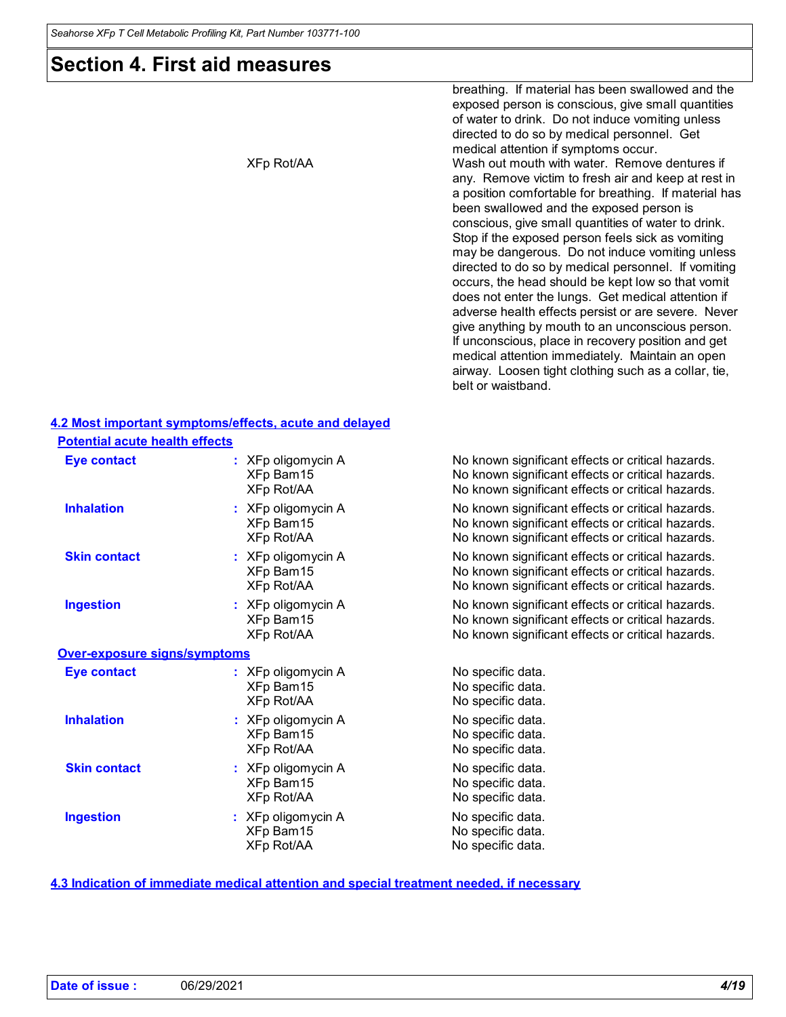### **Section 4. First aid measures**

breathing. If material has been swallowed and the exposed person is conscious, give small quantities of water to drink. Do not induce vomiting unless directed to do so by medical personnel. Get medical attention if symptoms occur. XFp Rot/AA Wash out mouth with water. Remove dentures if any. Remove victim to fresh air and keep at rest in a position comfortable for breathing. If material has been swallowed and the exposed person is conscious, give small quantities of water to drink. Stop if the exposed person feels sick as vomiting may be dangerous. Do not induce vomiting unless directed to do so by medical personnel. If vomiting occurs, the head should be kept low so that vomit does not enter the lungs. Get medical attention if adverse health effects persist or are severe. Never give anything by mouth to an unconscious person. If unconscious, place in recovery position and get medical attention immediately. Maintain an open airway. Loosen tight clothing such as a collar, tie, belt or waistband.

#### **4.2 Most important symptoms/effects, acute and delayed Potential acute health effects**

| <u>i otentiai acute neaith enects</u> |                                                 |                                                                                                                                                             |
|---------------------------------------|-------------------------------------------------|-------------------------------------------------------------------------------------------------------------------------------------------------------------|
| <b>Eye contact</b>                    | : XFp oligomycin A<br>XFp Bam15<br>XFp Rot/AA   | No known significant effects or critical hazards.<br>No known significant effects or critical hazards.<br>No known significant effects or critical hazards. |
| <b>Inhalation</b>                     | : XFp oligomycin A<br>XFp Bam15<br>XFp Rot/AA   | No known significant effects or critical hazards.<br>No known significant effects or critical hazards.<br>No known significant effects or critical hazards. |
| <b>Skin contact</b>                   | : XFp oligomycin A<br>XFp Bam15<br>XFp Rot/AA   | No known significant effects or critical hazards.<br>No known significant effects or critical hazards.<br>No known significant effects or critical hazards. |
| <b>Ingestion</b>                      | $:$ XFp oligomycin A<br>XFp Bam15<br>XFp Rot/AA | No known significant effects or critical hazards.<br>No known significant effects or critical hazards.<br>No known significant effects or critical hazards. |
| Over-exposure signs/symptoms          |                                                 |                                                                                                                                                             |
| <b>Eye contact</b>                    | : XFp oligomycin A<br>XFp Bam15<br>XFp Rot/AA   | No specific data.<br>No specific data.<br>No specific data.                                                                                                 |
| <b>Inhalation</b>                     | $:$ XFp oligomycin A<br>XFp Bam15<br>XFp Rot/AA | No specific data.<br>No specific data.<br>No specific data.                                                                                                 |
| <b>Skin contact</b>                   | : XFp oligomycin A<br>XFp Bam15<br>XFp Rot/AA   | No specific data.<br>No specific data.<br>No specific data.                                                                                                 |
| <b>Ingestion</b>                      | : XFp oligomycin A<br>XFp Bam15<br>XFp Rot/AA   | No specific data.<br>No specific data.<br>No specific data.                                                                                                 |
|                                       |                                                 |                                                                                                                                                             |

#### **4.3 Indication of immediate medical attention and special treatment needed, if necessary**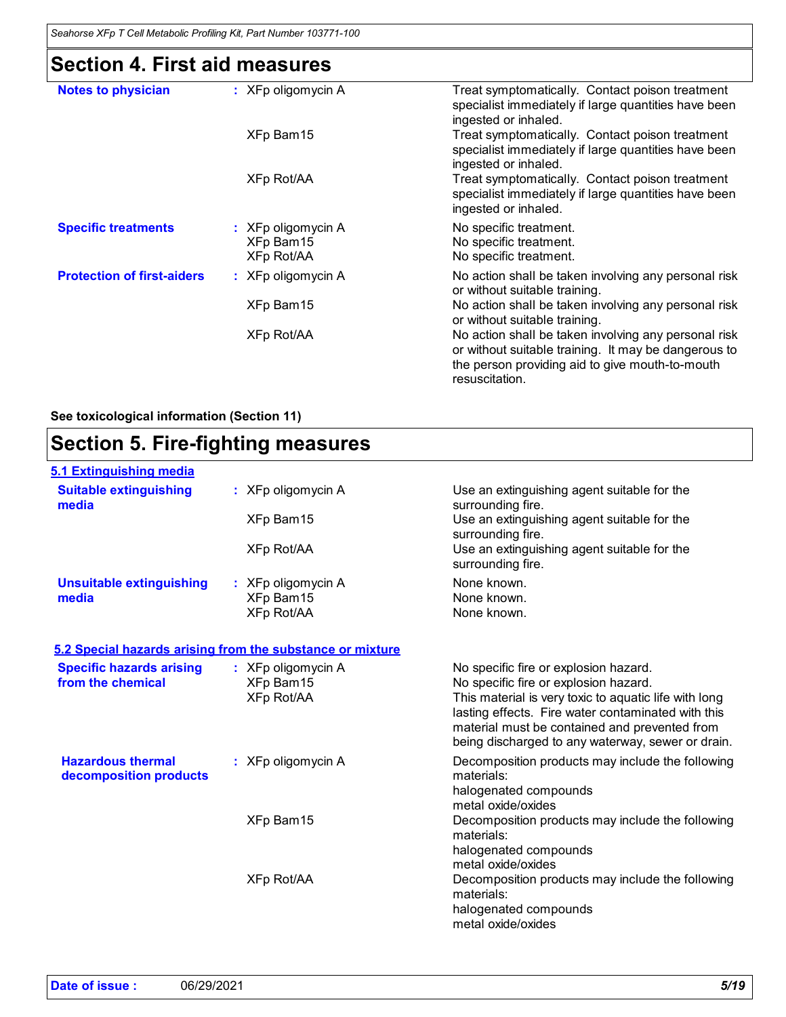# **Section 4. First aid measures**

| <b>Notes to physician</b>         | $:$ XFp oligomycin A                          | Treat symptomatically. Contact poison treatment<br>specialist immediately if large quantities have been<br>ingested or inhaled.                                                   |
|-----------------------------------|-----------------------------------------------|-----------------------------------------------------------------------------------------------------------------------------------------------------------------------------------|
|                                   | XFp Bam15                                     | Treat symptomatically. Contact poison treatment<br>specialist immediately if large quantities have been<br>ingested or inhaled.                                                   |
|                                   | <b>XFp Rot/AA</b>                             | Treat symptomatically. Contact poison treatment<br>specialist immediately if large quantities have been<br>ingested or inhaled.                                                   |
| <b>Specific treatments</b>        | : XFp oligomycin A<br>XFp Bam15<br>XFp Rot/AA | No specific treatment.<br>No specific treatment.<br>No specific treatment.                                                                                                        |
| <b>Protection of first-aiders</b> | $:$ XFp oligomycin A                          | No action shall be taken involving any personal risk<br>or without suitable training.                                                                                             |
|                                   | XFp Bam15                                     | No action shall be taken involving any personal risk<br>or without suitable training.                                                                                             |
|                                   | <b>XFp Rot/AA</b>                             | No action shall be taken involving any personal risk<br>or without suitable training. It may be dangerous to<br>the person providing aid to give mouth-to-mouth<br>resuscitation. |

**See toxicological information (Section 11)**

| <b>Section 5. Fire-fighting measures</b>           |                                                           |                                                                                                                                                              |
|----------------------------------------------------|-----------------------------------------------------------|--------------------------------------------------------------------------------------------------------------------------------------------------------------|
| 5.1 Extinguishing media                            |                                                           |                                                                                                                                                              |
| <b>Suitable extinguishing</b><br>media             | : XFp oligomycin A                                        | Use an extinguishing agent suitable for the<br>surrounding fire.                                                                                             |
|                                                    | XFp Bam15                                                 | Use an extinguishing agent suitable for the<br>surrounding fire.                                                                                             |
|                                                    | XFp Rot/AA                                                | Use an extinguishing agent suitable for the<br>surrounding fire.                                                                                             |
| <b>Unsuitable extinguishing</b>                    | : XFp oligomycin A                                        | None known.                                                                                                                                                  |
| media                                              | XFp Bam15                                                 | None known.                                                                                                                                                  |
|                                                    | <b>XFp Rot/AA</b>                                         | None known.                                                                                                                                                  |
|                                                    | 5.2 Special hazards arising from the substance or mixture |                                                                                                                                                              |
| <b>Specific hazards arising</b>                    | : XFp oligomycin A                                        | No specific fire or explosion hazard.                                                                                                                        |
| from the chemical                                  | XFp Bam15                                                 | No specific fire or explosion hazard.                                                                                                                        |
|                                                    | <b>XFp Rot/AA</b>                                         | This material is very toxic to aquatic life with long<br>lasting effects. Fire water contaminated with this<br>material must be contained and prevented from |
|                                                    |                                                           | being discharged to any waterway, sewer or drain.                                                                                                            |
| <b>Hazardous thermal</b><br>decomposition products | : XFp oligomycin A                                        | Decomposition products may include the following<br>materials:                                                                                               |
|                                                    |                                                           | halogenated compounds                                                                                                                                        |
|                                                    |                                                           | metal oxide/oxides                                                                                                                                           |
|                                                    | XFp Bam15                                                 | Decomposition products may include the following<br>materials:                                                                                               |
|                                                    |                                                           | halogenated compounds                                                                                                                                        |
|                                                    |                                                           | metal oxide/oxides                                                                                                                                           |
|                                                    | <b>XFp Rot/AA</b>                                         | Decomposition products may include the following<br>materials:                                                                                               |
|                                                    |                                                           | halogenated compounds                                                                                                                                        |
|                                                    |                                                           | metal oxide/oxides                                                                                                                                           |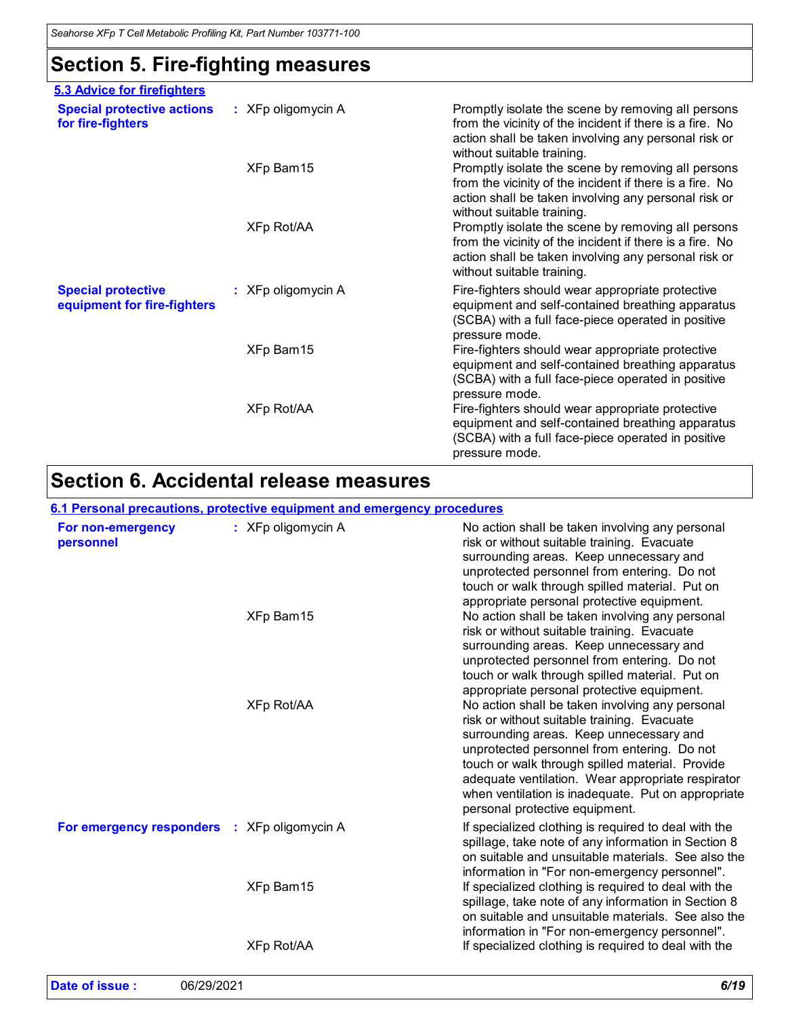# **Section 5. Fire-fighting measures**

| 5.3 Advice for firefighters                              |                      |                                                                                                                                                                                                      |
|----------------------------------------------------------|----------------------|------------------------------------------------------------------------------------------------------------------------------------------------------------------------------------------------------|
| <b>Special protective actions</b><br>for fire-fighters   | $:$ XFp oligomycin A | Promptly isolate the scene by removing all persons<br>from the vicinity of the incident if there is a fire. No<br>action shall be taken involving any personal risk or<br>without suitable training. |
|                                                          | XFp Bam15            | Promptly isolate the scene by removing all persons<br>from the vicinity of the incident if there is a fire. No<br>action shall be taken involving any personal risk or<br>without suitable training. |
|                                                          | XFp Rot/AA           | Promptly isolate the scene by removing all persons<br>from the vicinity of the incident if there is a fire. No<br>action shall be taken involving any personal risk or<br>without suitable training. |
| <b>Special protective</b><br>equipment for fire-fighters | : XFp oligomycin A   | Fire-fighters should wear appropriate protective<br>equipment and self-contained breathing apparatus<br>(SCBA) with a full face-piece operated in positive<br>pressure mode.                         |
|                                                          | XFp Bam15            | Fire-fighters should wear appropriate protective<br>equipment and self-contained breathing apparatus<br>(SCBA) with a full face-piece operated in positive<br>pressure mode.                         |
|                                                          | XFp Rot/AA           | Fire-fighters should wear appropriate protective<br>equipment and self-contained breathing apparatus<br>(SCBA) with a full face-piece operated in positive<br>pressure mode.                         |

# **Section 6. Accidental release measures**

|                                | 6.1 Personal precautions, protective equipment and emergency procedures |                                                                                                                                                                                                                                                                                                                                                                                          |
|--------------------------------|-------------------------------------------------------------------------|------------------------------------------------------------------------------------------------------------------------------------------------------------------------------------------------------------------------------------------------------------------------------------------------------------------------------------------------------------------------------------------|
| For non-emergency<br>personnel | : XFp oligomycin A                                                      | No action shall be taken involving any personal<br>risk or without suitable training. Evacuate<br>surrounding areas. Keep unnecessary and<br>unprotected personnel from entering. Do not<br>touch or walk through spilled material. Put on<br>appropriate personal protective equipment.                                                                                                 |
|                                | XFp Bam15                                                               | No action shall be taken involving any personal<br>risk or without suitable training. Evacuate<br>surrounding areas. Keep unnecessary and<br>unprotected personnel from entering. Do not<br>touch or walk through spilled material. Put on<br>appropriate personal protective equipment.                                                                                                 |
|                                | XFp Rot/AA                                                              | No action shall be taken involving any personal<br>risk or without suitable training. Evacuate<br>surrounding areas. Keep unnecessary and<br>unprotected personnel from entering. Do not<br>touch or walk through spilled material. Provide<br>adequate ventilation. Wear appropriate respirator<br>when ventilation is inadequate. Put on appropriate<br>personal protective equipment. |
| For emergency responders       | : XFp oligomycin A                                                      | If specialized clothing is required to deal with the<br>spillage, take note of any information in Section 8<br>on suitable and unsuitable materials. See also the<br>information in "For non-emergency personnel".                                                                                                                                                                       |
|                                | XFp Bam15                                                               | If specialized clothing is required to deal with the<br>spillage, take note of any information in Section 8<br>on suitable and unsuitable materials. See also the<br>information in "For non-emergency personnel".                                                                                                                                                                       |
|                                | XFp Rot/AA                                                              | If specialized clothing is required to deal with the                                                                                                                                                                                                                                                                                                                                     |

| Date of issue: | 06/29/2021 | 6/19 |
|----------------|------------|------|
|----------------|------------|------|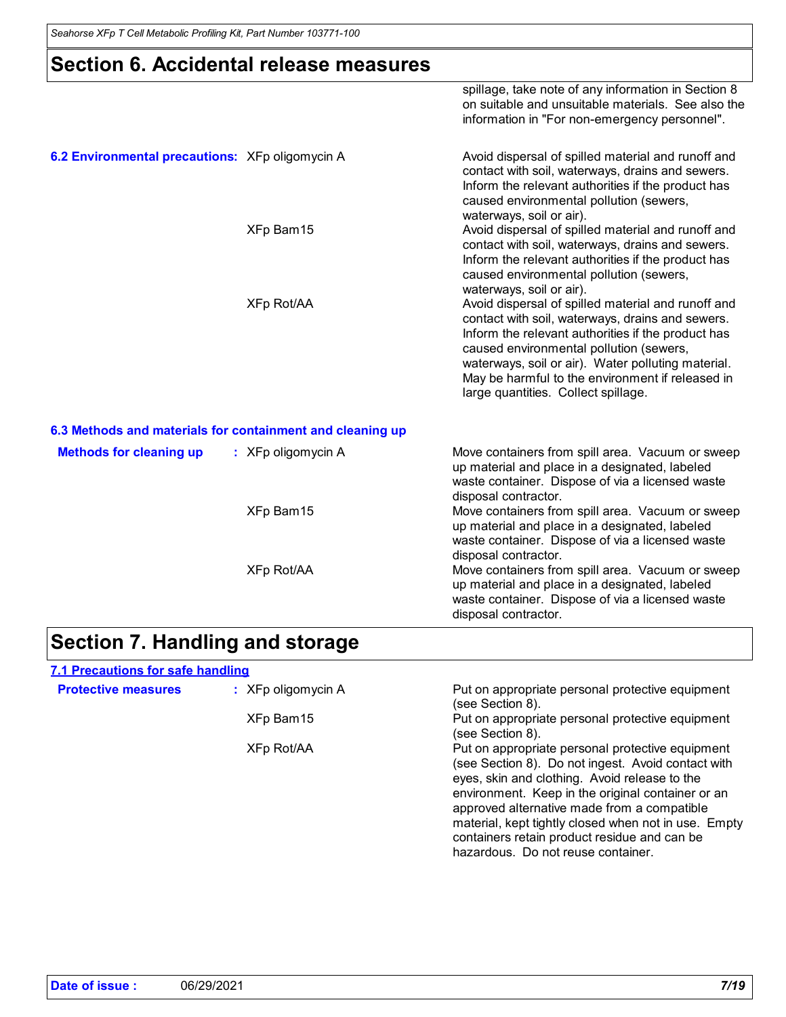### **Section 6. Accidental release measures**

|                                                           |                      | spillage, take note of any information in Section 8<br>on suitable and unsuitable materials. See also the<br>information in "For non-emergency personnel".                                                                                                                                                                                               |
|-----------------------------------------------------------|----------------------|----------------------------------------------------------------------------------------------------------------------------------------------------------------------------------------------------------------------------------------------------------------------------------------------------------------------------------------------------------|
| 6.2 Environmental precautions: XFp oligomycin A           |                      | Avoid dispersal of spilled material and runoff and<br>contact with soil, waterways, drains and sewers.<br>Inform the relevant authorities if the product has<br>caused environmental pollution (sewers,<br>waterways, soil or air).                                                                                                                      |
|                                                           | XFp Bam15            | Avoid dispersal of spilled material and runoff and<br>contact with soil, waterways, drains and sewers.<br>Inform the relevant authorities if the product has<br>caused environmental pollution (sewers,<br>waterways, soil or air).                                                                                                                      |
|                                                           | <b>XFp Rot/AA</b>    | Avoid dispersal of spilled material and runoff and<br>contact with soil, waterways, drains and sewers.<br>Inform the relevant authorities if the product has<br>caused environmental pollution (sewers,<br>waterways, soil or air). Water polluting material.<br>May be harmful to the environment if released in<br>large quantities. Collect spillage. |
| 6.3 Methods and materials for containment and cleaning up |                      |                                                                                                                                                                                                                                                                                                                                                          |
| <b>Methods for cleaning up</b>                            | $:$ XFp oligomycin A | Move containers from spill area. Vacuum or sweep<br>up material and place in a designated, labeled<br>waste container. Dispose of via a licensed waste<br>disposal contractor.                                                                                                                                                                           |
|                                                           | XFp Bam15            | Move containers from spill area. Vacuum or sweep<br>up material and place in a designated, labeled<br>waste container. Dispose of via a licensed waste<br>disposal contractor.                                                                                                                                                                           |
|                                                           | XFp Rot/AA           | Move containers from spill area. Vacuum or sweep<br>up material and place in a designated, labeled<br>waste container. Dispose of via a licensed waste<br>disposal contractor.                                                                                                                                                                           |

# **Section 7. Handling and storage**

| <b>7.1 Precautions for safe handling</b> |                      |                                                                                                                                                                                                                                                                                                                                                                                                           |
|------------------------------------------|----------------------|-----------------------------------------------------------------------------------------------------------------------------------------------------------------------------------------------------------------------------------------------------------------------------------------------------------------------------------------------------------------------------------------------------------|
| <b>Protective measures</b>               | $:$ XFp oligomycin A | Put on appropriate personal protective equipment<br>(see Section 8).                                                                                                                                                                                                                                                                                                                                      |
|                                          | XFp Bam15            | Put on appropriate personal protective equipment<br>(see Section 8).                                                                                                                                                                                                                                                                                                                                      |
|                                          | XFp Rot/AA           | Put on appropriate personal protective equipment<br>(see Section 8). Do not ingest. Avoid contact with<br>eyes, skin and clothing. Avoid release to the<br>environment. Keep in the original container or an<br>approved alternative made from a compatible<br>material, kept tightly closed when not in use. Empty<br>containers retain product residue and can be<br>hazardous. Do not reuse container. |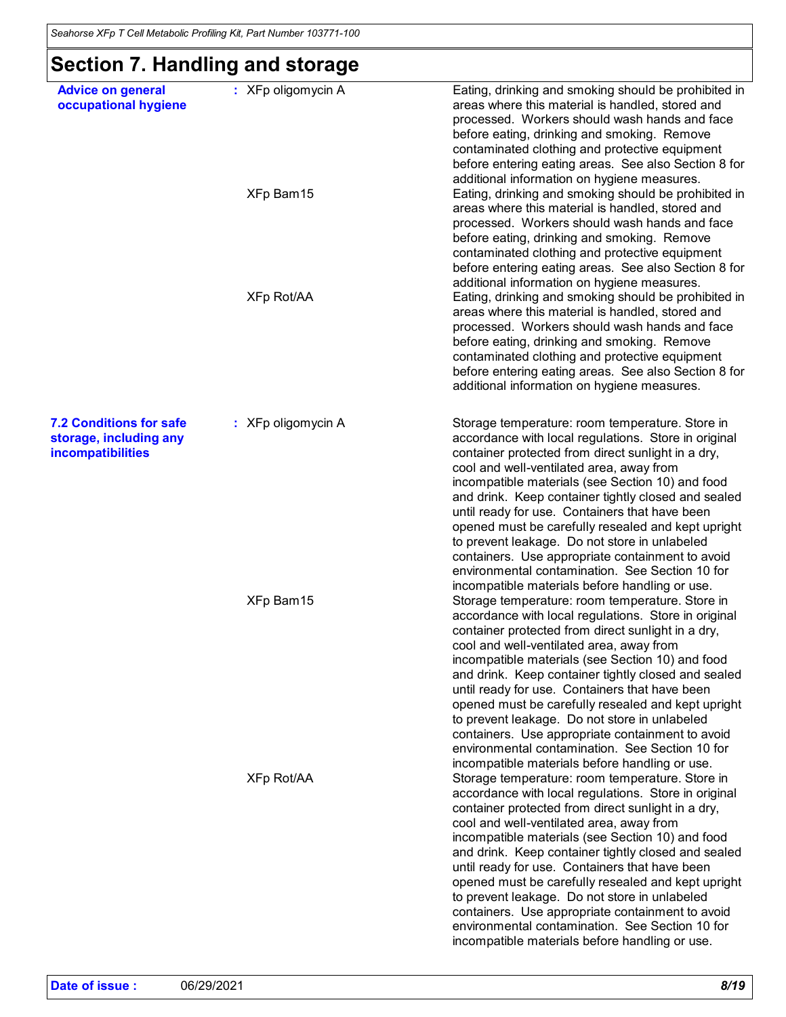# **Section 7. Handling and storage**

| <b>Advice on general</b><br>occupational hygiene                              | : XFp oligomycin A | Eating, drinking and smoking should be prohibited in<br>areas where this material is handled, stored and<br>processed. Workers should wash hands and face<br>before eating, drinking and smoking. Remove<br>contaminated clothing and protective equipment<br>before entering eating areas. See also Section 8 for<br>additional information on hygiene measures.                                                                                                                                                                                                                                                                                                                        |
|-------------------------------------------------------------------------------|--------------------|------------------------------------------------------------------------------------------------------------------------------------------------------------------------------------------------------------------------------------------------------------------------------------------------------------------------------------------------------------------------------------------------------------------------------------------------------------------------------------------------------------------------------------------------------------------------------------------------------------------------------------------------------------------------------------------|
|                                                                               | XFp Bam15          | Eating, drinking and smoking should be prohibited in<br>areas where this material is handled, stored and<br>processed. Workers should wash hands and face<br>before eating, drinking and smoking. Remove<br>contaminated clothing and protective equipment<br>before entering eating areas. See also Section 8 for                                                                                                                                                                                                                                                                                                                                                                       |
|                                                                               | XFp Rot/AA         | additional information on hygiene measures.<br>Eating, drinking and smoking should be prohibited in<br>areas where this material is handled, stored and<br>processed. Workers should wash hands and face<br>before eating, drinking and smoking. Remove<br>contaminated clothing and protective equipment<br>before entering eating areas. See also Section 8 for<br>additional information on hygiene measures.                                                                                                                                                                                                                                                                         |
| <b>7.2 Conditions for safe</b><br>storage, including any<br>incompatibilities | : XFp oligomycin A | Storage temperature: room temperature. Store in<br>accordance with local regulations. Store in original<br>container protected from direct sunlight in a dry,<br>cool and well-ventilated area, away from<br>incompatible materials (see Section 10) and food<br>and drink. Keep container tightly closed and sealed<br>until ready for use. Containers that have been<br>opened must be carefully resealed and kept upright<br>to prevent leakage. Do not store in unlabeled<br>containers. Use appropriate containment to avoid<br>environmental contamination. See Section 10 for<br>incompatible materials before handling or use.                                                   |
|                                                                               | XFp Bam15          | Storage temperature: room temperature. Store in<br>accordance with local regulations. Store in original<br>container protected from direct sunlight in a dry,<br>cool and well-ventilated area, away from<br>incompatible materials (see Section 10) and food<br>and drink. Keep container tightly closed and sealed<br>until ready for use. Containers that have been<br>opened must be carefully resealed and kept upright<br>to prevent leakage. Do not store in unlabeled<br>containers. Use appropriate containment to avoid<br>environmental contamination. See Section 10 for                                                                                                     |
|                                                                               | <b>XFp Rot/AA</b>  | incompatible materials before handling or use.<br>Storage temperature: room temperature. Store in<br>accordance with local regulations. Store in original<br>container protected from direct sunlight in a dry,<br>cool and well-ventilated area, away from<br>incompatible materials (see Section 10) and food<br>and drink. Keep container tightly closed and sealed<br>until ready for use. Containers that have been<br>opened must be carefully resealed and kept upright<br>to prevent leakage. Do not store in unlabeled<br>containers. Use appropriate containment to avoid<br>environmental contamination. See Section 10 for<br>incompatible materials before handling or use. |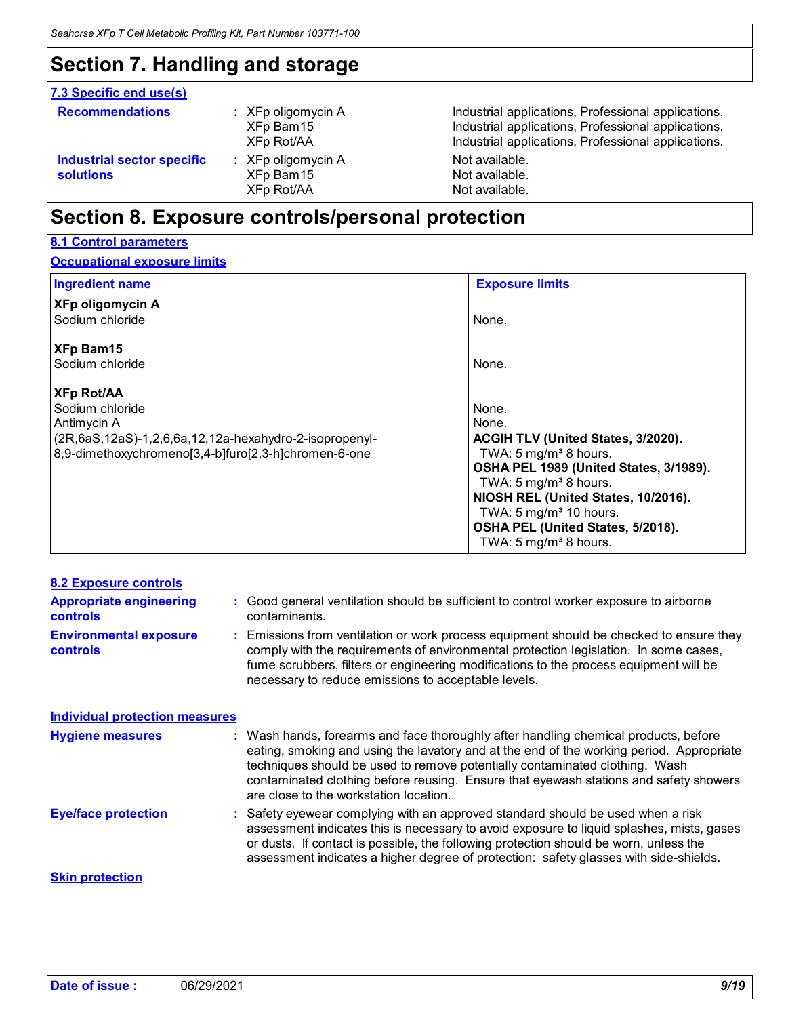### **Section 7. Handling and storage**

#### **7.3 Specific end use(s)**

| <b>Recommendations</b>                  | $\therefore$ XFp oligomycin A<br>XFp Bam15<br>XFp Rot/AA | Industrial applications, Professional applications.<br>Industrial applications, Professional applications.<br>Industrial applications, Professional applications. |
|-----------------------------------------|----------------------------------------------------------|-------------------------------------------------------------------------------------------------------------------------------------------------------------------|
| Industrial sector specific<br>solutions | $\therefore$ XFp oligomycin A<br>XFp Bam15<br>XFp Rot/AA | Not available.<br>Not available.<br>Not available.                                                                                                                |

# **Section 8. Exposure controls/personal protection**

### **8.1 Control parameters**

#### **Occupational exposure limits**

| <b>Ingredient name</b>                                                                                                                                                            | <b>Exposure limits</b>                                                                                                                                                                                                                                                                                                      |  |
|-----------------------------------------------------------------------------------------------------------------------------------------------------------------------------------|-----------------------------------------------------------------------------------------------------------------------------------------------------------------------------------------------------------------------------------------------------------------------------------------------------------------------------|--|
| <b>XFp oligomycin A</b><br>Sodium chloride                                                                                                                                        | None.                                                                                                                                                                                                                                                                                                                       |  |
| XFp Bam15<br>Sodium chloride                                                                                                                                                      | None.                                                                                                                                                                                                                                                                                                                       |  |
| <b>XFp Rot/AA</b><br>Sodium chloride<br>Antimycin A<br>$(2R, 6aS, 12aS) - 1, 2, 6, 6a, 12, 12a$ -hexahydro-2-isopropenyl-<br>8,9-dimethoxychromeno[3,4-b]furo[2,3-h]chromen-6-one | None.<br>None.<br><b>ACGIH TLV (United States, 3/2020).</b><br>TWA: 5 mg/m <sup>3</sup> 8 hours.<br>OSHA PEL 1989 (United States, 3/1989).<br>TWA: 5 mg/m <sup>3</sup> 8 hours.<br>NIOSH REL (United States, 10/2016).<br>TWA: $5 \text{ mg/m}^3$ 10 hours.<br>OSHA PEL (United States, 5/2018).<br>TWA: 5 $mg/m3$ 8 hours. |  |

| <b>8.2 Exposure controls</b><br><b>Appropriate engineering</b><br><b>controls</b><br><b>Environmental exposure</b><br><b>controls</b> | : Good general ventilation should be sufficient to control worker exposure to airborne<br>contaminants.<br>: Emissions from ventilation or work process equipment should be checked to ensure they<br>comply with the requirements of environmental protection legislation. In some cases,<br>fume scrubbers, filters or engineering modifications to the process equipment will be<br>necessary to reduce emissions to acceptable levels. |
|---------------------------------------------------------------------------------------------------------------------------------------|--------------------------------------------------------------------------------------------------------------------------------------------------------------------------------------------------------------------------------------------------------------------------------------------------------------------------------------------------------------------------------------------------------------------------------------------|
| <b>Individual protection measures</b>                                                                                                 |                                                                                                                                                                                                                                                                                                                                                                                                                                            |
| <b>Hygiene measures</b>                                                                                                               | : Wash hands, forearms and face thoroughly after handling chemical products, before<br>eating, smoking and using the lavatory and at the end of the working period. Appropriate<br>techniques should be used to remove potentially contaminated clothing. Wash<br>contaminated clothing before reusing. Ensure that eyewash stations and safety showers<br>are close to the workstation location.                                          |
| <b>Eye/face protection</b>                                                                                                            | : Safety eyewear complying with an approved standard should be used when a risk<br>assessment indicates this is necessary to avoid exposure to liquid splashes, mists, gases<br>or dusts. If contact is possible, the following protection should be worn, unless the<br>assessment indicates a higher degree of protection: safety glasses with side-shields.                                                                             |
| <b>Skin protection</b>                                                                                                                |                                                                                                                                                                                                                                                                                                                                                                                                                                            |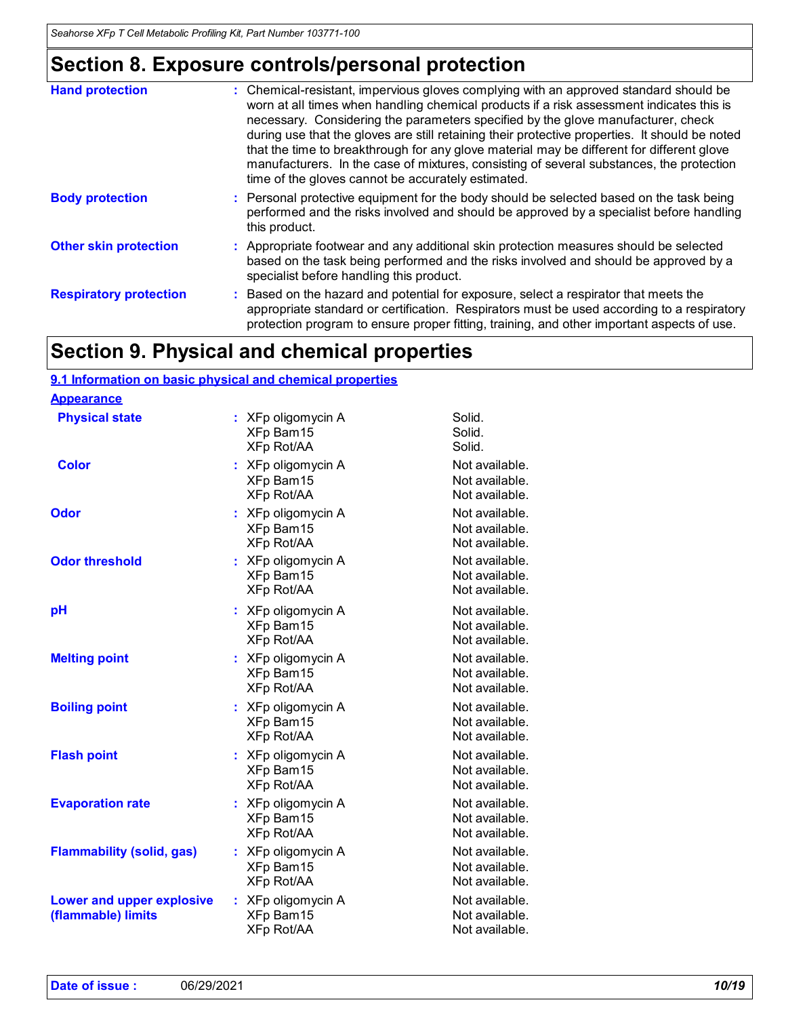# **Section 8. Exposure controls/personal protection**

| <b>Hand protection</b>        | : Chemical-resistant, impervious gloves complying with an approved standard should be<br>worn at all times when handling chemical products if a risk assessment indicates this is<br>necessary. Considering the parameters specified by the glove manufacturer, check<br>during use that the gloves are still retaining their protective properties. It should be noted<br>that the time to breakthrough for any glove material may be different for different glove<br>manufacturers. In the case of mixtures, consisting of several substances, the protection<br>time of the gloves cannot be accurately estimated. |
|-------------------------------|------------------------------------------------------------------------------------------------------------------------------------------------------------------------------------------------------------------------------------------------------------------------------------------------------------------------------------------------------------------------------------------------------------------------------------------------------------------------------------------------------------------------------------------------------------------------------------------------------------------------|
| <b>Body protection</b>        | : Personal protective equipment for the body should be selected based on the task being<br>performed and the risks involved and should be approved by a specialist before handling<br>this product.                                                                                                                                                                                                                                                                                                                                                                                                                    |
| <b>Other skin protection</b>  | : Appropriate footwear and any additional skin protection measures should be selected<br>based on the task being performed and the risks involved and should be approved by a<br>specialist before handling this product.                                                                                                                                                                                                                                                                                                                                                                                              |
| <b>Respiratory protection</b> | Based on the hazard and potential for exposure, select a respirator that meets the<br>appropriate standard or certification. Respirators must be used according to a respiratory<br>protection program to ensure proper fitting, training, and other important aspects of use.                                                                                                                                                                                                                                                                                                                                         |

# **Section 9. Physical and chemical properties**

#### **9.1 Information on basic physical and chemical properties**

| <b>Appearance</b> |
|-------------------|
|-------------------|

| : XFp oligomycin A                                      | Solid.                                             |
|---------------------------------------------------------|----------------------------------------------------|
| XFp Bam15                                               | Solid.                                             |
| <b>XFp Rot/AA</b>                                       | Solid.                                             |
| : XFp oligomycin A                                      | Not available.                                     |
| XFp Bam15                                               | Not available.                                     |
| <b>XFp Rot/AA</b>                                       | Not available.                                     |
| : XFp oligomycin A                                      | Not available.                                     |
| XFp Bam15                                               | Not available.                                     |
| XFp Rot/AA                                              | Not available.                                     |
| XFp oligomycin A                                        | Not available.                                     |
| XFp Bam15                                               | Not available.                                     |
| <b>XFp Rot/AA</b>                                       | Not available.                                     |
| XFp oligomycin A                                        | Not available.                                     |
| XFp Bam15                                               | Not available.                                     |
| <b>XFp Rot/AA</b>                                       | Not available.                                     |
| XFp oligomycin A                                        | Not available.                                     |
| XFp Bam15                                               | Not available.                                     |
| <b>XFp Rot/AA</b>                                       | Not available.                                     |
| : XFp oligomycin A                                      | Not available.                                     |
| XFp Bam15                                               | Not available.                                     |
| <b>XFp Rot/AA</b>                                       | Not available.                                     |
| XFp oligomycin A                                        | Not available.                                     |
| XFp Bam15                                               | Not available.                                     |
| <b>XFp Rot/AA</b>                                       | Not available.                                     |
| XFp oligomycin A<br>÷<br>XFp Bam15<br><b>XFp Rot/AA</b> | Not available.<br>Not available.<br>Not available. |
| : XFp oligomycin A                                      | Not available.                                     |
| XFp Bam15                                               | Not available.                                     |
| <b>XFp Rot/AA</b>                                       | Not available.                                     |
| XFp oligomycin A                                        | Not available.                                     |
| XFp Bam15                                               | Not available.                                     |
| XFp Rot/AA                                              | Not available.                                     |
|                                                         |                                                    |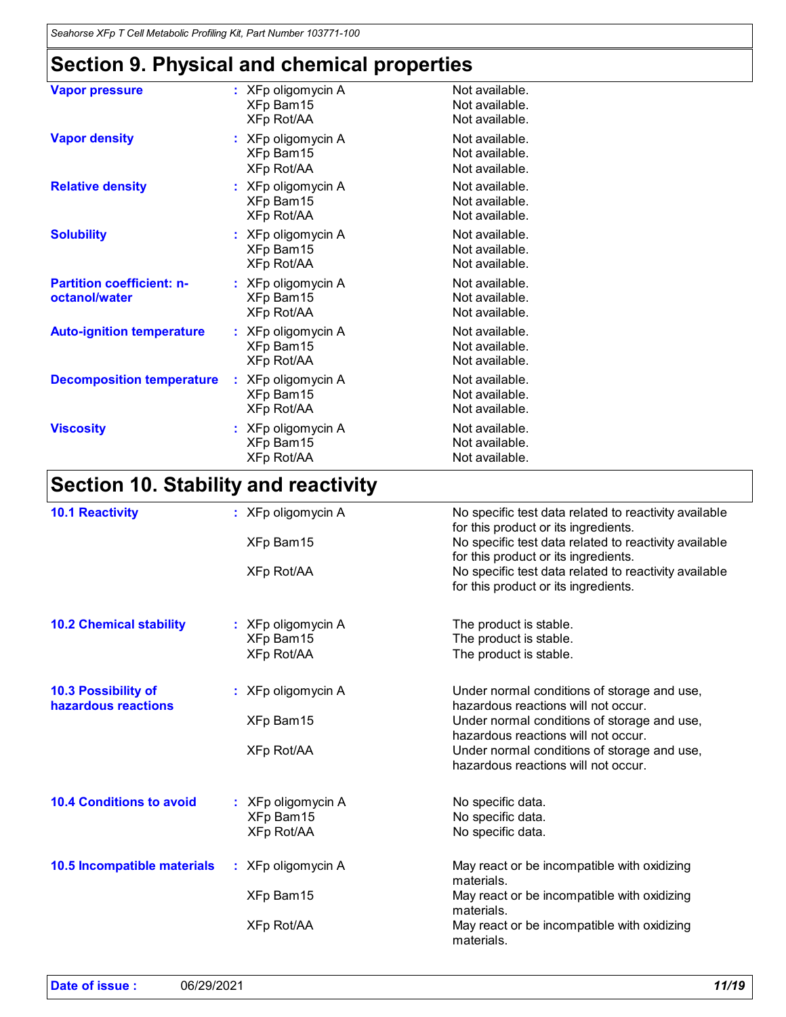# **Section 9. Physical and chemical properties**

| <b>Vapor pressure</b>                             | : XFp oligomycin A<br>XFp Bam15<br>XFp Rot/AA   | Not available.<br>Not available.<br>Not available. |
|---------------------------------------------------|-------------------------------------------------|----------------------------------------------------|
| <b>Vapor density</b>                              | : XFp oligomycin A<br>XFp Bam15<br>XFp Rot/AA   | Not available.<br>Not available.<br>Not available. |
| <b>Relative density</b>                           | $:$ XFp oligomycin A<br>XFp Bam15<br>XFp Rot/AA | Not available.<br>Not available.<br>Not available. |
| <b>Solubility</b>                                 | : XFp oligomycin A<br>XFp Bam15<br>XFp Rot/AA   | Not available.<br>Not available.<br>Not available. |
| <b>Partition coefficient: n-</b><br>octanol/water | $:$ XFp oligomycin A<br>XFp Bam15<br>XFp Rot/AA | Not available.<br>Not available.<br>Not available. |
| <b>Auto-ignition temperature</b>                  | : XFp oligomycin A<br>XFp Bam15<br>XFp Rot/AA   | Not available.<br>Not available.<br>Not available. |
| <b>Decomposition temperature</b>                  | : XFp oligomycin A<br>XFp Bam15<br>XFp Rot/AA   | Not available.<br>Not available.<br>Not available. |
| <b>Viscosity</b>                                  | : XFp oligomycin A<br>XFp Bam15<br>XFp Rot/AA   | Not available.<br>Not available.<br>Not available. |

# **Section 10. Stability and reactivity**

| <b>10.1 Reactivity</b>          | $:$ XFp oligomycin A | No specific test data related to reactivity available<br>for this product or its ingredients. |
|---------------------------------|----------------------|-----------------------------------------------------------------------------------------------|
|                                 |                      |                                                                                               |
|                                 | XFp Bam15            | No specific test data related to reactivity available                                         |
|                                 |                      | for this product or its ingredients.                                                          |
|                                 | XFp Rot/AA           | No specific test data related to reactivity available                                         |
|                                 |                      | for this product or its ingredients.                                                          |
| <b>10.2 Chemical stability</b>  | : XFp oligomycin A   | The product is stable.                                                                        |
|                                 | XFp Bam15            | The product is stable.                                                                        |
|                                 | XFp Rot/AA           | The product is stable.                                                                        |
|                                 |                      |                                                                                               |
| <b>10.3 Possibility of</b>      | $:$ XFp oligomycin A | Under normal conditions of storage and use,                                                   |
| hazardous reactions             |                      | hazardous reactions will not occur.                                                           |
|                                 | XFp Bam15            | Under normal conditions of storage and use,                                                   |
|                                 |                      | hazardous reactions will not occur.                                                           |
|                                 | <b>XFp Rot/AA</b>    | Under normal conditions of storage and use,                                                   |
|                                 |                      | hazardous reactions will not occur.                                                           |
|                                 |                      |                                                                                               |
| <b>10.4 Conditions to avoid</b> | : XFp oligomycin A   | No specific data.                                                                             |
|                                 | XFp Bam15            | No specific data.                                                                             |
|                                 | <b>XFp Rot/AA</b>    | No specific data.                                                                             |
|                                 |                      |                                                                                               |
| 10.5 Incompatible materials     | $:$ XFp oligomycin A | May react or be incompatible with oxidizing                                                   |
|                                 |                      | materials.                                                                                    |
|                                 | XFp Bam15            | May react or be incompatible with oxidizing                                                   |
|                                 |                      | materials.                                                                                    |
|                                 | <b>XFp Rot/AA</b>    | May react or be incompatible with oxidizing                                                   |
|                                 |                      | materials.                                                                                    |
|                                 |                      |                                                                                               |

| Date of issue: | 06/29/2021 | 11/19 |
|----------------|------------|-------|
|----------------|------------|-------|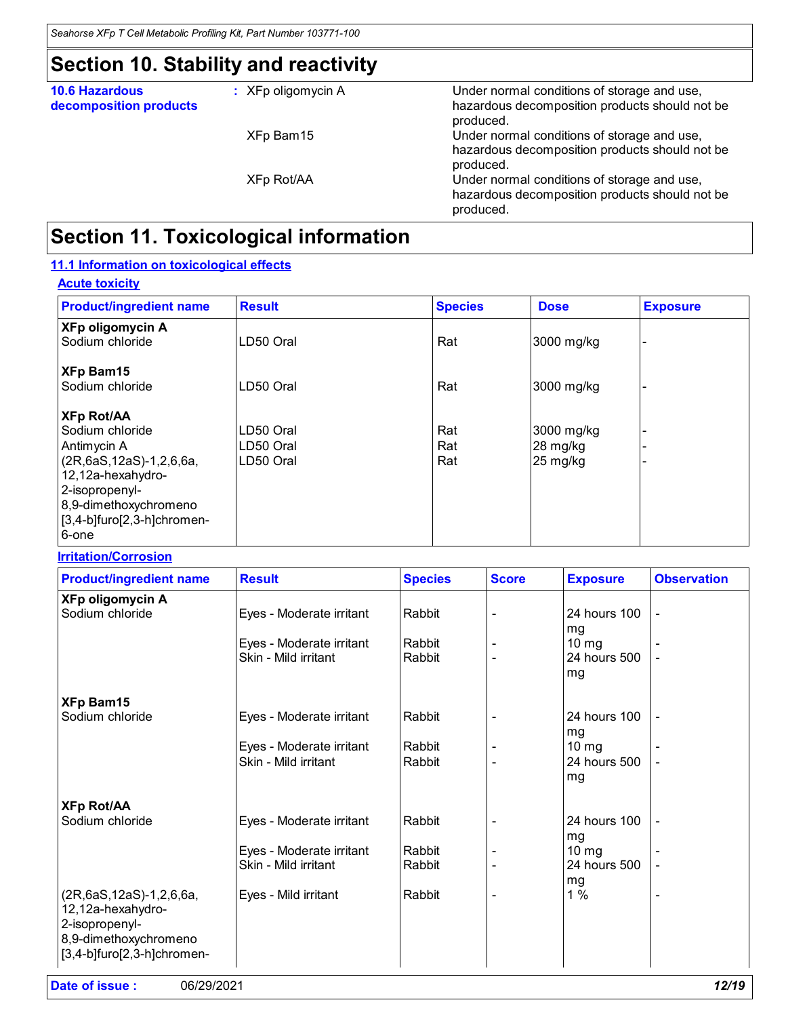# **Section 10. Stability and reactivity**

| <b>10.6 Hazardous</b><br>decomposition products | $:$ XFp oligomycin A | Under normal conditions of storage and use,<br>hazardous decomposition products should not be<br>produced. |
|-------------------------------------------------|----------------------|------------------------------------------------------------------------------------------------------------|
|                                                 | XFp Bam15            | Under normal conditions of storage and use,<br>hazardous decomposition products should not be<br>produced. |
|                                                 | XFp Rot/AA           | Under normal conditions of storage and use,<br>hazardous decomposition products should not be<br>produced. |
|                                                 |                      |                                                                                                            |

# **Section 11. Toxicological information**

#### **11.1 Information on toxicological effects**

| <b>Acute toxicity</b>                      |               |                |             |                 |
|--------------------------------------------|---------------|----------------|-------------|-----------------|
| <b>Product/ingredient name</b>             | <b>Result</b> | <b>Species</b> | <b>Dose</b> | <b>Exposure</b> |
| <b>XFp oligomycin A</b><br>Sodium chloride | LD50 Oral     | Rat            | 3000 mg/kg  |                 |
| <b>XFp Bam15</b>                           |               |                |             |                 |
| Sodium chloride                            | LD50 Oral     | Rat            | 3000 mg/kg  |                 |
| <b>XFp Rot/AA</b>                          |               |                |             |                 |
| Sodium chloride                            | LD50 Oral     | Rat            | 3000 mg/kg  |                 |
| Antimycin A                                | LD50 Oral     | Rat            | 28 mg/kg    |                 |
| (2R,6aS,12aS)-1,2,6,6a,                    | LD50 Oral     | Rat            | 25 mg/kg    |                 |
| 12,12a-hexahydro-                          |               |                |             |                 |
| 2-isopropenyl-                             |               |                |             |                 |
| 8,9-dimethoxychromeno                      |               |                |             |                 |
| $[3,4-b]$ furo $[2,3-h]$ chromen-          |               |                |             |                 |
| 6-one                                      |               |                |             |                 |

| <b>Irritation/Corrosion</b> |
|-----------------------------|
|-----------------------------|

| <b>Product/ingredient name</b>                                                                                               | <b>Result</b>            | <b>Species</b> | <b>Score</b> | <b>Exposure</b>    | <b>Observation</b>       |
|------------------------------------------------------------------------------------------------------------------------------|--------------------------|----------------|--------------|--------------------|--------------------------|
| <b>XFp oligomycin A</b>                                                                                                      |                          |                |              |                    |                          |
| Sodium chloride                                                                                                              | Eyes - Moderate irritant | Rabbit         |              | 24 hours 100<br>mg |                          |
|                                                                                                                              | Eyes - Moderate irritant | Rabbit         |              | $10 \, mg$         |                          |
|                                                                                                                              | Skin - Mild irritant     | Rabbit         |              | 24 hours 500<br>mg |                          |
| <b>XFp Bam15</b>                                                                                                             |                          |                |              |                    |                          |
| Sodium chloride                                                                                                              | Eyes - Moderate irritant | Rabbit         |              | 24 hours 100<br>mg |                          |
|                                                                                                                              | Eyes - Moderate irritant | Rabbit         |              | $10 \, mg$         |                          |
|                                                                                                                              | Skin - Mild irritant     | Rabbit         |              | 24 hours 500<br>mg |                          |
| <b>XFp Rot/AA</b>                                                                                                            |                          |                |              |                    |                          |
| Sodium chloride                                                                                                              | Eyes - Moderate irritant | Rabbit         |              | 24 hours 100<br>mg |                          |
|                                                                                                                              | Eyes - Moderate irritant | Rabbit         |              | $10 \text{ mg}$    |                          |
|                                                                                                                              | Skin - Mild irritant     | Rabbit         |              | 24 hours 500<br>mg |                          |
| (2R,6aS,12aS)-1,2,6,6a,<br>12,12a-hexahydro-<br>2-isopropenyl-<br>8,9-dimethoxychromeno<br>$[3,4-b]$ furo $[2,3-h]$ chromen- | Eyes - Mild irritant     | Rabbit         |              | 1%                 | $\overline{\phantom{0}}$ |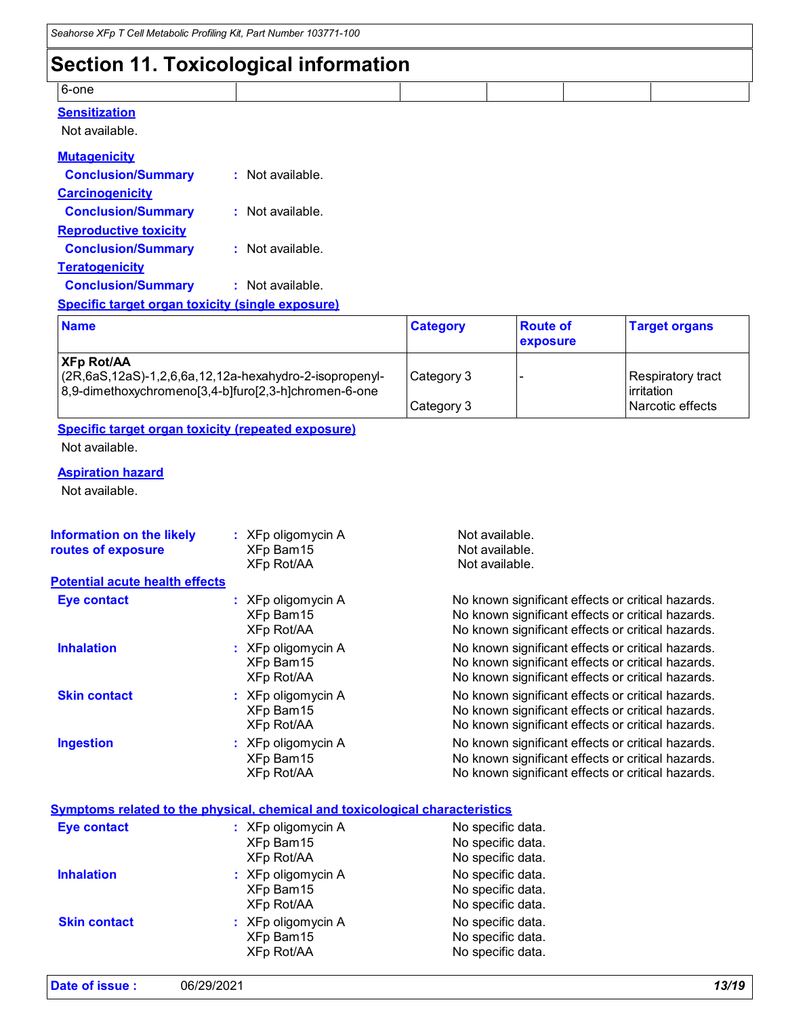### **Section 11. Toxicological information**

|       | __ |  |  |
|-------|----|--|--|
| 6-one |    |  |  |
|       |    |  |  |

#### **Sensitization**

Not available.

| <b>Mutagenicity</b>                                     |                  |
|---------------------------------------------------------|------------------|
| <b>Conclusion/Summary</b>                               | : Not available. |
| <b>Carcinogenicity</b>                                  |                  |
| <b>Conclusion/Summary</b>                               | : Not available. |
| <b>Reproductive toxicity</b>                            |                  |
| <b>Conclusion/Summary</b>                               | : Not available. |
| <b>Teratogenicity</b>                                   |                  |
| <b>Conclusion/Summary</b>                               | : Not available. |
| <b>Specific target organ toxicity (single exposure)</b> |                  |

| <b>Name</b>                                                                                                                                       | <b>Category</b> | <b>Route of</b><br>exposure | <b>Target organs</b>                     |
|---------------------------------------------------------------------------------------------------------------------------------------------------|-----------------|-----------------------------|------------------------------------------|
| <b>XFp Rot/AA</b><br>$\left(2R,6aS,12aS\right)-1,2,6,6a,12,12a$ -hexahydro-2-isopropenyl-<br>8,9-dimethoxychromeno[3,4-b]furo[2,3-h]chromen-6-one | Category 3      |                             | Respiratory tract<br><b>l</b> irritation |
|                                                                                                                                                   | Category 3      |                             | Narcotic effects                         |

#### **Specific target organ toxicity (repeated exposure)** Not available.

#### **Aspiration hazard**

Not available.

| <b>Information on the likely</b><br>routes of exposure | : XFp oligomycin A<br>XFp Bam15<br><b>XFp Rot/AA</b> | Not available.<br>Not available.<br>Not available.                                                                                                          |
|--------------------------------------------------------|------------------------------------------------------|-------------------------------------------------------------------------------------------------------------------------------------------------------------|
| <b>Potential acute health effects</b>                  |                                                      |                                                                                                                                                             |
| <b>Eye contact</b>                                     | $:$ XFp oligomycin A<br>XFp Bam15<br>XFp Rot/AA      | No known significant effects or critical hazards.<br>No known significant effects or critical hazards.<br>No known significant effects or critical hazards. |
| <b>Inhalation</b>                                      | : XFp oligomycin A<br>XFp Bam15<br>XFp Rot/AA        | No known significant effects or critical hazards.<br>No known significant effects or critical hazards.<br>No known significant effects or critical hazards. |
| <b>Skin contact</b>                                    | : XFp oligomycin A<br>XFp Bam15<br>XFp Rot/AA        | No known significant effects or critical hazards.<br>No known significant effects or critical hazards.<br>No known significant effects or critical hazards. |
| <b>Ingestion</b>                                       | $:$ XFp oligomycin A<br>XFp Bam15<br>XFp Rot/AA      | No known significant effects or critical hazards.<br>No known significant effects or critical hazards.<br>No known significant effects or critical hazards. |

#### **Symptoms related to the physical, chemical and toxicological characteristics**

| <b>Eye contact</b>  | $:$ XFp oligomycin A<br>XFp Bam15<br>XFp Rot/AA | No specific data.<br>No specific data.<br>No specific data. |
|---------------------|-------------------------------------------------|-------------------------------------------------------------|
| <b>Inhalation</b>   | $:$ XFp oligomycin A<br>XFp Bam15<br>XFp Rot/AA | No specific data.<br>No specific data.<br>No specific data. |
| <b>Skin contact</b> | : XFp oligomycin A<br>XFp Bam15<br>XFp Rot/AA   | No specific data.<br>No specific data.<br>No specific data. |

| Date of issue: | 06/29/2021 | 13/19 |  |
|----------------|------------|-------|--|
|                |            |       |  |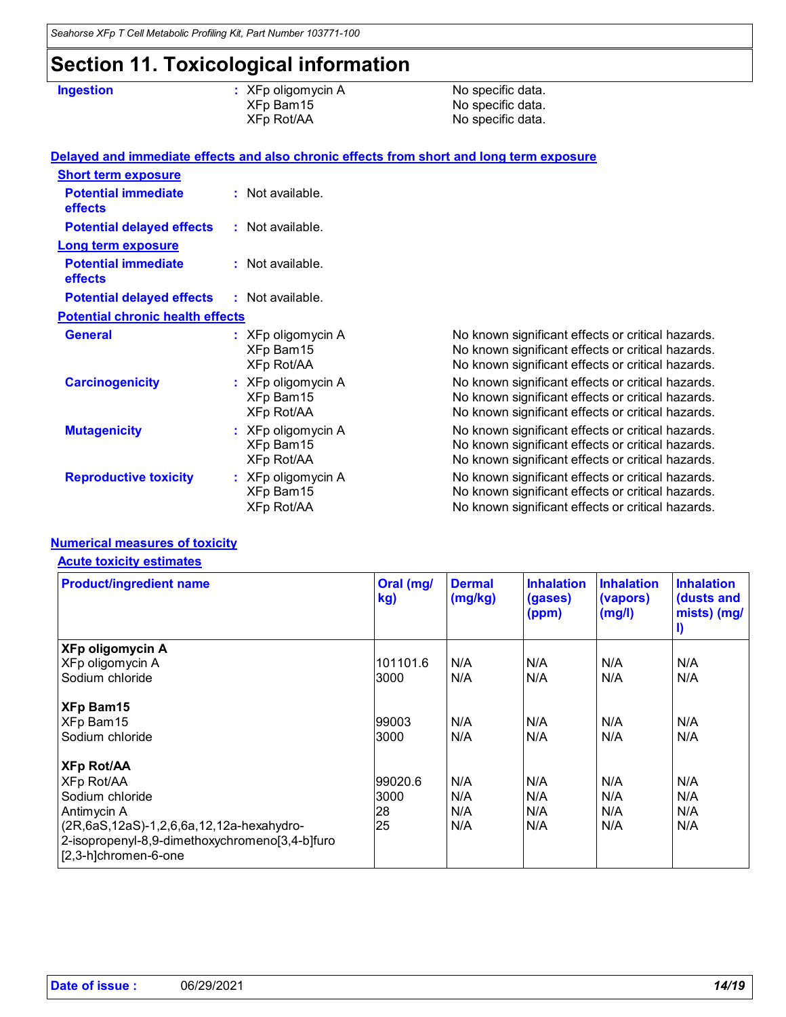# **Section 11. Toxicological information**

**Ingestion Contains Example 2. All XFp oligomycin A Contains A** No specific data. XFp Bam15 No specific data.<br>
XFp Rot/AA No specific data. No specific data.

|                                              |                                                 | Delayed and immediate effects and also chronic effects from short and long term exposure                                                                    |
|----------------------------------------------|-------------------------------------------------|-------------------------------------------------------------------------------------------------------------------------------------------------------------|
| <b>Short term exposure</b>                   |                                                 |                                                                                                                                                             |
| <b>Potential immediate</b><br><b>effects</b> | : Not available.                                |                                                                                                                                                             |
| <b>Potential delayed effects</b>             | : Not available.                                |                                                                                                                                                             |
| <b>Long term exposure</b>                    |                                                 |                                                                                                                                                             |
| <b>Potential immediate</b><br>effects        | $:$ Not available.                              |                                                                                                                                                             |
| <b>Potential delayed effects</b>             | : Not available.                                |                                                                                                                                                             |
| <b>Potential chronic health effects</b>      |                                                 |                                                                                                                                                             |
| <b>General</b>                               | : XFp oligomycin A<br>XFp Bam15<br>XFp Rot/AA   | No known significant effects or critical hazards.<br>No known significant effects or critical hazards.<br>No known significant effects or critical hazards. |
| <b>Carcinogenicity</b>                       | $:$ XFp oligomycin A<br>XFp Bam15<br>XFp Rot/AA | No known significant effects or critical hazards.<br>No known significant effects or critical hazards.<br>No known significant effects or critical hazards. |
| <b>Mutagenicity</b>                          | : XFp oligomycin A<br>XFp Bam15<br>XFp Rot/AA   | No known significant effects or critical hazards.<br>No known significant effects or critical hazards.<br>No known significant effects or critical hazards. |
| <b>Reproductive toxicity</b>                 | : XFp oligomycin A<br>XFp Bam15<br>XFp Rot/AA   | No known significant effects or critical hazards.<br>No known significant effects or critical hazards.<br>No known significant effects or critical hazards. |

#### **Numerical measures of toxicity**

#### **Acute toxicity estimates**

| <b>Product/ingredient name</b>                                         | Oral (mg/<br>kg) | <b>Dermal</b><br>(mg/kg) | <b>Inhalation</b><br>(gases)<br>(ppm) | <b>Inhalation</b><br>(vapors)<br>(mg/l) | <b>Inhalation</b><br>(dusts and<br>mists) (mg/<br>I) |
|------------------------------------------------------------------------|------------------|--------------------------|---------------------------------------|-----------------------------------------|------------------------------------------------------|
| <b>XFp oligomycin A</b>                                                |                  |                          |                                       |                                         |                                                      |
| XFp oligomycin A                                                       | 101101.6         | N/A                      | N/A                                   | N/A                                     | N/A                                                  |
| Sodium chloride                                                        | 3000             | N/A                      | N/A                                   | N/A                                     | N/A                                                  |
| <b>XFp Bam15</b>                                                       |                  |                          |                                       |                                         |                                                      |
| XFp Bam15                                                              | 99003            | N/A                      | N/A                                   | N/A                                     | N/A                                                  |
| Sodium chloride                                                        | 3000             | N/A                      | N/A                                   | N/A                                     | N/A                                                  |
| <b>XFp Rot/AA</b>                                                      |                  |                          |                                       |                                         |                                                      |
| XFp Rot/AA                                                             | 99020.6          | N/A                      | N/A                                   | N/A                                     | N/A                                                  |
| Sodium chloride                                                        | 3000             | N/A                      | N/A                                   | N/A                                     | N/A                                                  |
| Antimycin A                                                            | 28               | N/A                      | N/A                                   | N/A                                     | N/A                                                  |
| (2R,6aS,12aS)-1,2,6,6a,12,12a-hexahydro-                               | 25               | N/A                      | IN/A                                  | N/A                                     | N/A                                                  |
| 2-isopropenyl-8,9-dimethoxychromeno[3,4-b]furo<br>[2,3-h]chromen-6-one |                  |                          |                                       |                                         |                                                      |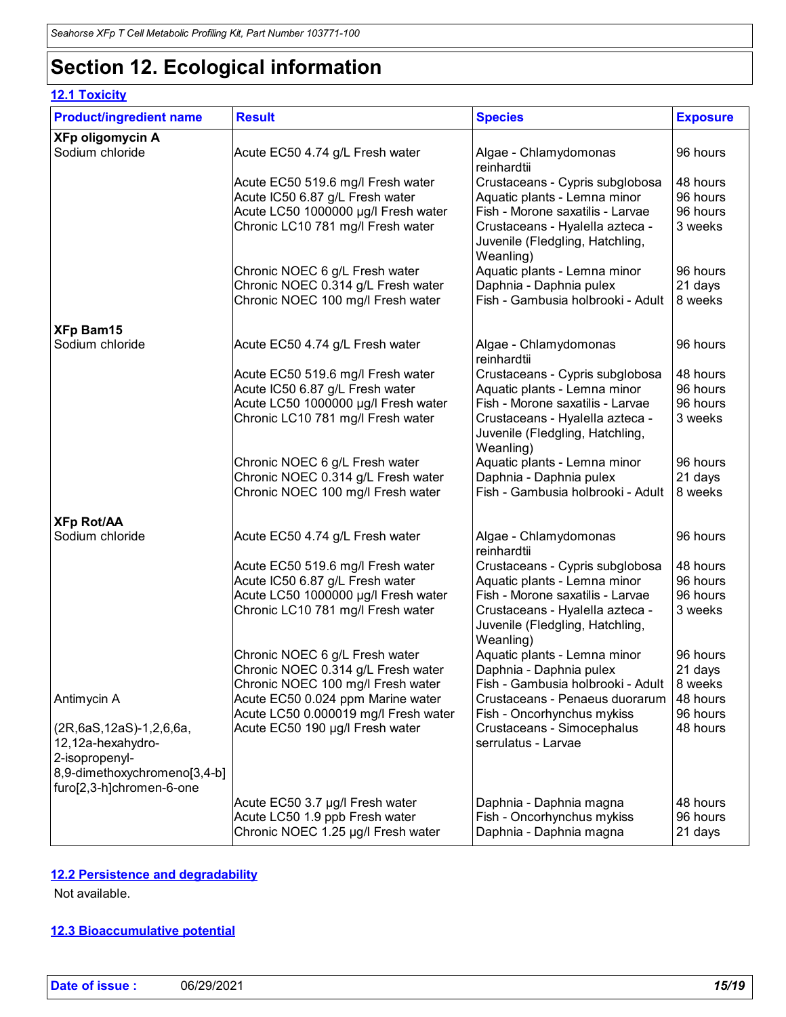# **Section 12. Ecological information**

### **12.1 Toxicity**

| <b>Product/ingredient name</b>                                                                 | <b>Result</b>                                                                                                                                    | <b>Species</b>                                                                                                                                                                         | <b>Exposure</b>                             |
|------------------------------------------------------------------------------------------------|--------------------------------------------------------------------------------------------------------------------------------------------------|----------------------------------------------------------------------------------------------------------------------------------------------------------------------------------------|---------------------------------------------|
| <b>XFp oligomycin A</b><br>Sodium chloride                                                     | Acute EC50 4.74 g/L Fresh water                                                                                                                  | Algae - Chlamydomonas<br>reinhardtii                                                                                                                                                   | 96 hours                                    |
|                                                                                                | Acute EC50 519.6 mg/l Fresh water<br>Acute IC50 6.87 g/L Fresh water<br>Acute LC50 1000000 µg/l Fresh water<br>Chronic LC10 781 mg/l Fresh water | Crustaceans - Cypris subglobosa<br>Aquatic plants - Lemna minor<br>Fish - Morone saxatilis - Larvae<br>Crustaceans - Hyalella azteca -<br>Juvenile (Fledgling, Hatchling,              | 48 hours<br>96 hours<br>96 hours<br>3 weeks |
|                                                                                                | Chronic NOEC 6 g/L Fresh water<br>Chronic NOEC 0.314 g/L Fresh water<br>Chronic NOEC 100 mg/l Fresh water                                        | Weanling)<br>Aquatic plants - Lemna minor<br>Daphnia - Daphnia pulex<br>Fish - Gambusia holbrooki - Adult                                                                              | 96 hours<br>21 days<br>8 weeks              |
| <b>XFp Bam15</b>                                                                               |                                                                                                                                                  |                                                                                                                                                                                        |                                             |
| Sodium chloride                                                                                | Acute EC50 4.74 g/L Fresh water                                                                                                                  | Algae - Chlamydomonas<br>reinhardtii                                                                                                                                                   | 96 hours                                    |
|                                                                                                | Acute EC50 519.6 mg/l Fresh water<br>Acute IC50 6.87 g/L Fresh water<br>Acute LC50 1000000 µg/l Fresh water<br>Chronic LC10 781 mg/l Fresh water | Crustaceans - Cypris subglobosa<br>Aquatic plants - Lemna minor<br>Fish - Morone saxatilis - Larvae<br>Crustaceans - Hyalella azteca -<br>Juvenile (Fledgling, Hatchling,              | 48 hours<br>96 hours<br>96 hours<br>3 weeks |
|                                                                                                | Chronic NOEC 6 g/L Fresh water<br>Chronic NOEC 0.314 g/L Fresh water<br>Chronic NOEC 100 mg/l Fresh water                                        | Weanling)<br>Aquatic plants - Lemna minor<br>Daphnia - Daphnia pulex<br>Fish - Gambusia holbrooki - Adult                                                                              | 96 hours<br>21 days<br>8 weeks              |
| <b>XFp Rot/AA</b>                                                                              |                                                                                                                                                  |                                                                                                                                                                                        |                                             |
| Sodium chloride                                                                                | Acute EC50 4.74 g/L Fresh water                                                                                                                  | Algae - Chlamydomonas<br>reinhardtii                                                                                                                                                   | 96 hours                                    |
|                                                                                                | Acute EC50 519.6 mg/l Fresh water<br>Acute IC50 6.87 g/L Fresh water<br>Acute LC50 1000000 µg/l Fresh water<br>Chronic LC10 781 mg/l Fresh water | Crustaceans - Cypris subglobosa<br>Aquatic plants - Lemna minor<br>Fish - Morone saxatilis - Larvae<br>Crustaceans - Hyalella azteca -<br>Juvenile (Fledgling, Hatchling,<br>Weanling) | 48 hours<br>96 hours<br>96 hours<br>3 weeks |
| Antimycin A                                                                                    | Chronic NOEC 6 g/L Fresh water<br>Chronic NOEC 0.314 g/L Fresh water<br>Chronic NOEC 100 mg/l Fresh water<br>Acute EC50 0.024 ppm Marine water   | Aquatic plants - Lemna minor<br>Daphnia - Daphnia pulex<br>Fish - Gambusia holbrooki - Adult<br>Crustaceans - Penaeus duorarum                                                         | 96 hours<br>21 days<br>8 weeks<br>48 hours  |
| (2R,6aS,12aS)-1,2,6,6a,<br>12,12a-hexahydro-<br>2-isopropenyl-<br>8,9-dimethoxychromeno[3,4-b] | Acute LC50 0.000019 mg/l Fresh water<br>Acute EC50 190 µg/l Fresh water                                                                          | Fish - Oncorhynchus mykiss<br>Crustaceans - Simocephalus<br>serrulatus - Larvae                                                                                                        | 96 hours<br>48 hours                        |
| furo[2,3-h]chromen-6-one                                                                       | Acute EC50 3.7 µg/l Fresh water<br>Acute LC50 1.9 ppb Fresh water<br>Chronic NOEC 1.25 µg/l Fresh water                                          | Daphnia - Daphnia magna<br>Fish - Oncorhynchus mykiss<br>Daphnia - Daphnia magna                                                                                                       | 48 hours<br>96 hours<br>21 days             |

#### **12.2 Persistence and degradability**

Not available.

#### **12.3 Bioaccumulative potential**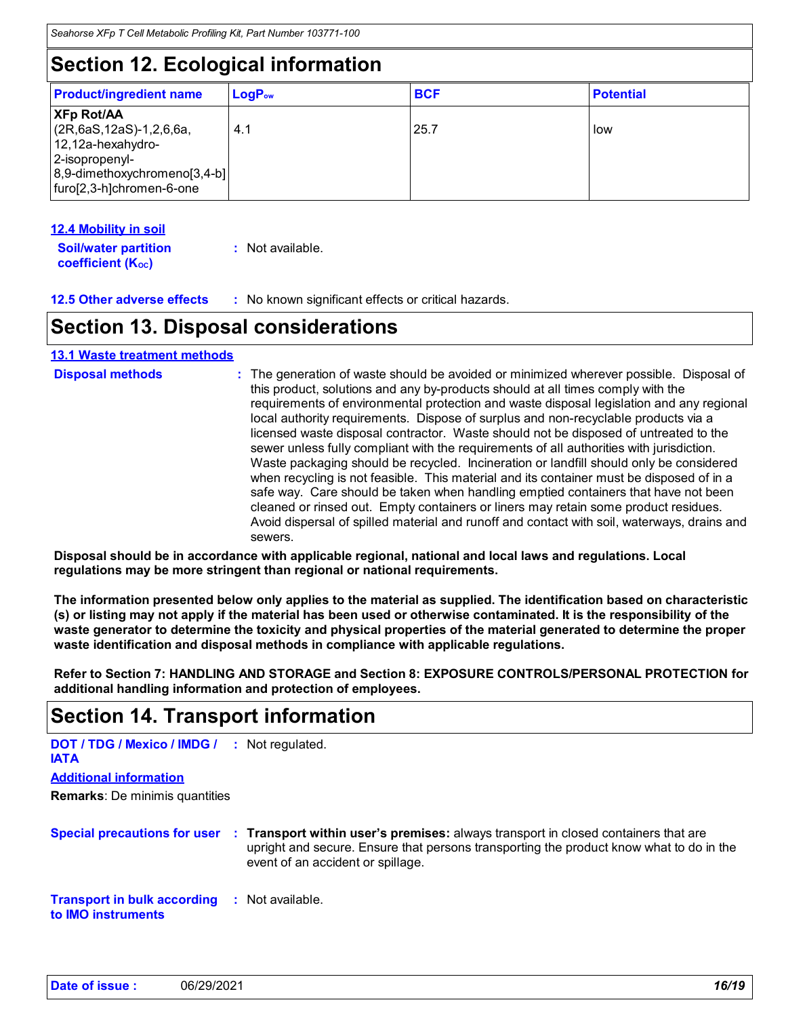# **Section 12. Ecological information**

| <b>Product/ingredient name</b>                                                                                                                              | $\mathsf{LogP}_\mathsf{ow}$ | <b>BCF</b> | <b>Potential</b> |
|-------------------------------------------------------------------------------------------------------------------------------------------------------------|-----------------------------|------------|------------------|
| <b>XFp Rot/AA</b><br>$(2R, 6aS, 12aS) - 1, 2, 6, 6a,$<br>$12,12a$ -hexahydro-<br>2-isopropenyl-<br>8,9-dimethoxychromeno[3,4-b]<br>furo[2,3-h]chromen-6-one | 4.1                         | 25.7       | low              |

#### **12.4 Mobility in soil**

**Soil/water partition coefficient (K**<sup>oc</sup>) **:** Not available.

**12.5 Other adverse effects :** No known significant effects or critical hazards.

### **Section 13. Disposal considerations**

#### **13.1 Waste treatment methods**

| <b>Disposal methods</b> | : The generation of waste should be avoided or minimized wherever possible. Disposal of<br>this product, solutions and any by-products should at all times comply with the<br>requirements of environmental protection and waste disposal legislation and any regional<br>local authority requirements. Dispose of surplus and non-recyclable products via a<br>licensed waste disposal contractor. Waste should not be disposed of untreated to the<br>sewer unless fully compliant with the requirements of all authorities with jurisdiction.<br>Waste packaging should be recycled. Incineration or landfill should only be considered<br>when recycling is not feasible. This material and its container must be disposed of in a<br>safe way. Care should be taken when handling emptied containers that have not been<br>cleaned or rinsed out. Empty containers or liners may retain some product residues. |
|-------------------------|---------------------------------------------------------------------------------------------------------------------------------------------------------------------------------------------------------------------------------------------------------------------------------------------------------------------------------------------------------------------------------------------------------------------------------------------------------------------------------------------------------------------------------------------------------------------------------------------------------------------------------------------------------------------------------------------------------------------------------------------------------------------------------------------------------------------------------------------------------------------------------------------------------------------|
|                         | Avoid dispersal of spilled material and runoff and contact with soil, waterways, drains and<br>sewers.                                                                                                                                                                                                                                                                                                                                                                                                                                                                                                                                                                                                                                                                                                                                                                                                              |

**Disposal should be in accordance with applicable regional, national and local laws and regulations. Local regulations may be more stringent than regional or national requirements.**

**The information presented below only applies to the material as supplied. The identification based on characteristic (s) or listing may not apply if the material has been used or otherwise contaminated. It is the responsibility of the waste generator to determine the toxicity and physical properties of the material generated to determine the proper waste identification and disposal methods in compliance with applicable regulations.**

**Refer to Section 7: HANDLING AND STORAGE and Section 8: EXPOSURE CONTROLS/PERSONAL PROTECTION for additional handling information and protection of employees.**

### **Section 14. Transport information**

| <b>DOT / TDG / Mexico / IMDG / :</b> Not regulated.<br><b>IATA</b>               |                                                                                                                                                                                                                                                 |
|----------------------------------------------------------------------------------|-------------------------------------------------------------------------------------------------------------------------------------------------------------------------------------------------------------------------------------------------|
| <b>Additional information</b>                                                    |                                                                                                                                                                                                                                                 |
| <b>Remarks:</b> De minimis quantities                                            |                                                                                                                                                                                                                                                 |
|                                                                                  | Special precautions for user : Transport within user's premises: always transport in closed containers that are<br>upright and secure. Ensure that persons transporting the product know what to do in the<br>event of an accident or spillage. |
| <b>Transport in bulk according : Not available.</b><br>to <b>IMO</b> instruments |                                                                                                                                                                                                                                                 |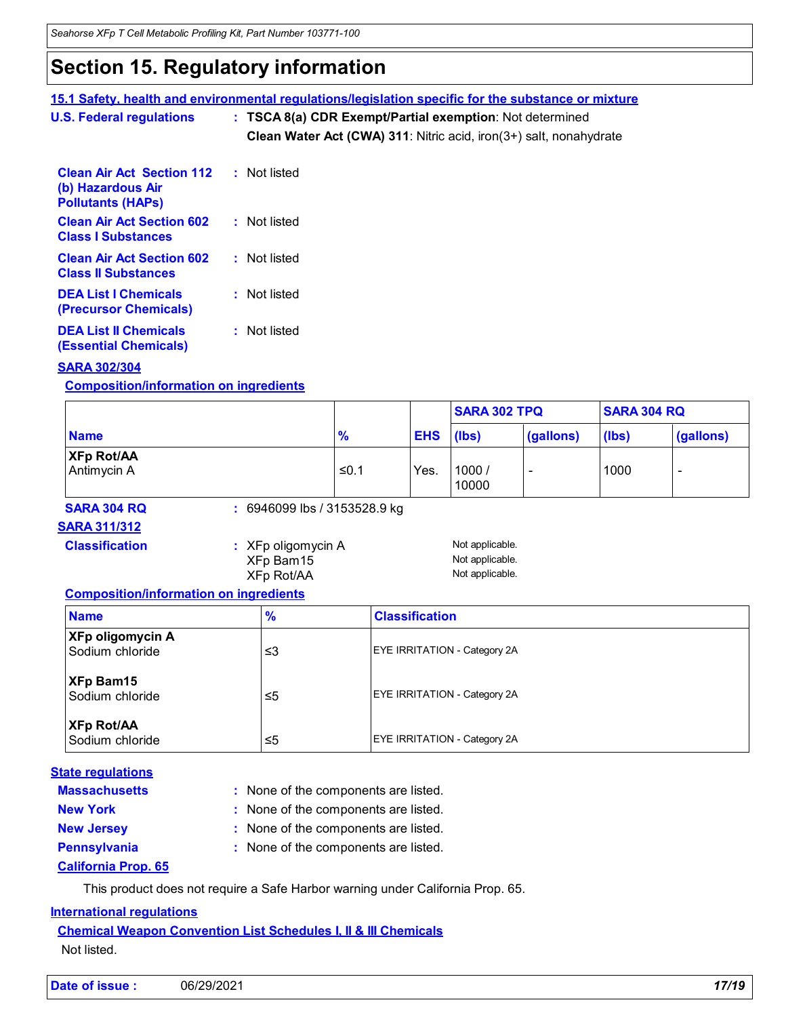# **Section 15. Regulatory information**

### **15.1 Safety, health and environmental regulations/legislation specific for the substance or mixture**

**U.S. Federal regulations Clean Water Act (CWA) 311**: Nitric acid, iron(3+) salt, nonahydrate **: TSCA 8(a) CDR Exempt/Partial exemption**: Not determined

| <b>Clean Air Act Section 112</b><br>(b) Hazardous Air<br><b>Pollutants (HAPs)</b> | : Not listed |  |
|-----------------------------------------------------------------------------------|--------------|--|
| <b>Clean Air Act Section 602</b><br><b>Class I Substances</b>                     | : Not listed |  |
| <b>Clean Air Act Section 602</b><br><b>Class II Substances</b>                    | : Not listed |  |
| <b>DEA List I Chemicals</b><br>(Precursor Chemicals)                              | : Not listed |  |
| <b>DEA List II Chemicals</b><br><b>(Essential Chemicals)</b>                      | : Not listed |  |

#### **SARA 302/304**

**Composition/information on ingredients**

|                                  |                            |               |            | <b>SARA 302 TPQ</b> |           | <b>SARA 304 RQ</b> |           |
|----------------------------------|----------------------------|---------------|------------|---------------------|-----------|--------------------|-----------|
| <b>Name</b>                      |                            | $\frac{9}{6}$ | <b>EHS</b> | (lbs)               | (gallons) | (lbs)              | (gallons) |
| <b>XFp Rot/AA</b><br>Antimycin A |                            | ≤0.1          | Yes.       | 1000/<br>10000      |           | 1000               |           |
| SARA 304 RQ                      | 6946099 lbs / 3153528.9 kg |               |            |                     |           |                    |           |

#### **SARA 311/312**

**Classification :** XFp oligomycin A Not applicable. XFp Rot/AA

XFp Bam15 Not applicable.<br>XFp Rot/AA Not applicable.

#### **Composition/information on ingredients**

| <b>Name</b>                                | $\frac{9}{6}$ | <b>Classification</b>        |
|--------------------------------------------|---------------|------------------------------|
| <b>XFp oligomycin A</b><br>Sodium chloride | ≤3            | EYE IRRITATION - Category 2A |
| <b>XFp Bam15</b><br>Sodium chloride        | ≤5            | EYE IRRITATION - Category 2A |
| <b>XFp Rot/AA</b><br>Sodium chloride       | ≤5            | EYE IRRITATION - Category 2A |

| <b>State regulations</b>   |                                      |
|----------------------------|--------------------------------------|
| <b>Massachusetts</b>       | : None of the components are listed. |
| <b>New York</b>            | : None of the components are listed. |
| <b>New Jersey</b>          | : None of the components are listed. |
| <b>Pennsylvania</b>        | : None of the components are listed. |
| <b>California Prop. 65</b> |                                      |

This product does not require a Safe Harbor warning under California Prop. 65.

#### **International regulations**

**Chemical Weapon Convention List Schedules I, II & III Chemicals** Not listed.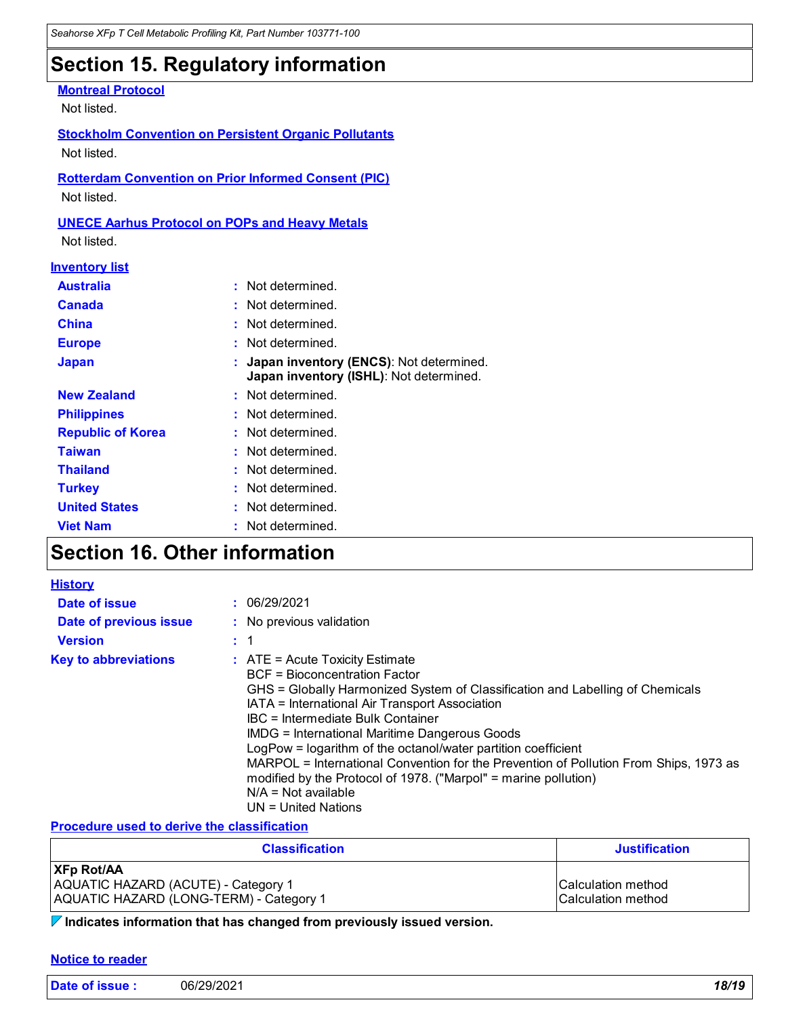# **Section 15. Regulatory information**

#### **Montreal Protocol**

Not listed.

**Stockholm Convention on Persistent Organic Pollutants** Not listed.

**Rotterdam Convention on Prior Informed Consent (PIC)** Not listed.

#### **UNECE Aarhus Protocol on POPs and Heavy Metals**

Not listed.

#### **Inventory list**

| <b>Australia</b>         | : Not determined.                                                                  |
|--------------------------|------------------------------------------------------------------------------------|
| <b>Canada</b>            | : Not determined.                                                                  |
| <b>China</b>             | : Not determined.                                                                  |
| <b>Europe</b>            | : Not determined.                                                                  |
| <b>Japan</b>             | Japan inventory (ENCS): Not determined.<br>Japan inventory (ISHL): Not determined. |
| <b>New Zealand</b>       | : Not determined.                                                                  |
| <b>Philippines</b>       | : Not determined.                                                                  |
| <b>Republic of Korea</b> | : Not determined.                                                                  |
| <b>Taiwan</b>            | : Not determined.                                                                  |
| <b>Thailand</b>          | : Not determined.                                                                  |
| <b>Turkey</b>            | Not determined.                                                                    |
| <b>United States</b>     | : Not determined.                                                                  |
| <b>Viet Nam</b>          | : Not determined.                                                                  |

# **Section 16. Other information**

| <b>History</b>              |                                                                                                                                                                                                                                                                                                                                                                                                                                                                                                                                                                                   |
|-----------------------------|-----------------------------------------------------------------------------------------------------------------------------------------------------------------------------------------------------------------------------------------------------------------------------------------------------------------------------------------------------------------------------------------------------------------------------------------------------------------------------------------------------------------------------------------------------------------------------------|
| Date of issue               | : 06/29/2021                                                                                                                                                                                                                                                                                                                                                                                                                                                                                                                                                                      |
| Date of previous issue      | : No previous validation                                                                                                                                                                                                                                                                                                                                                                                                                                                                                                                                                          |
| <b>Version</b>              | : 1                                                                                                                                                                                                                                                                                                                                                                                                                                                                                                                                                                               |
| <b>Key to abbreviations</b> | $\therefore$ ATE = Acute Toxicity Estimate<br>BCF = Bioconcentration Factor<br>GHS = Globally Harmonized System of Classification and Labelling of Chemicals<br>IATA = International Air Transport Association<br>IBC = Intermediate Bulk Container<br>IMDG = International Maritime Dangerous Goods<br>LogPow = logarithm of the octanol/water partition coefficient<br>MARPOL = International Convention for the Prevention of Pollution From Ships, 1973 as<br>modified by the Protocol of 1978. ("Marpol" = marine pollution)<br>$N/A = Not available$<br>UN = United Nations |

#### **Procedure used to derive the classification**

| <b>Classification</b>                                    | <b>Justification</b>      |
|----------------------------------------------------------|---------------------------|
| <b>XFp Rot/AA</b><br>AQUATIC HAZARD (ACUTE) - Category 1 | <b>Calculation method</b> |
| AQUATIC HAZARD (LONG-TERM) - Category 1                  | <b>Calculation method</b> |

**Indicates information that has changed from previously issued version.**

#### **Notice to reader**

| Date of issue: | 06/29/2021 | 18/19 |
|----------------|------------|-------|
|                |            | ____  |
|                |            |       |